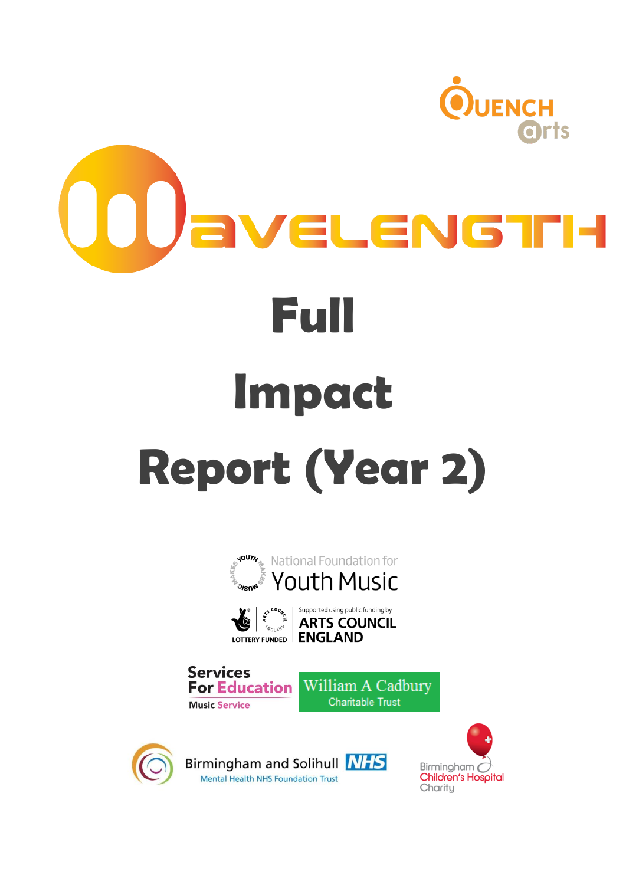









Birmingham and Solihull NHS Mental Health NHS Foundation Trust

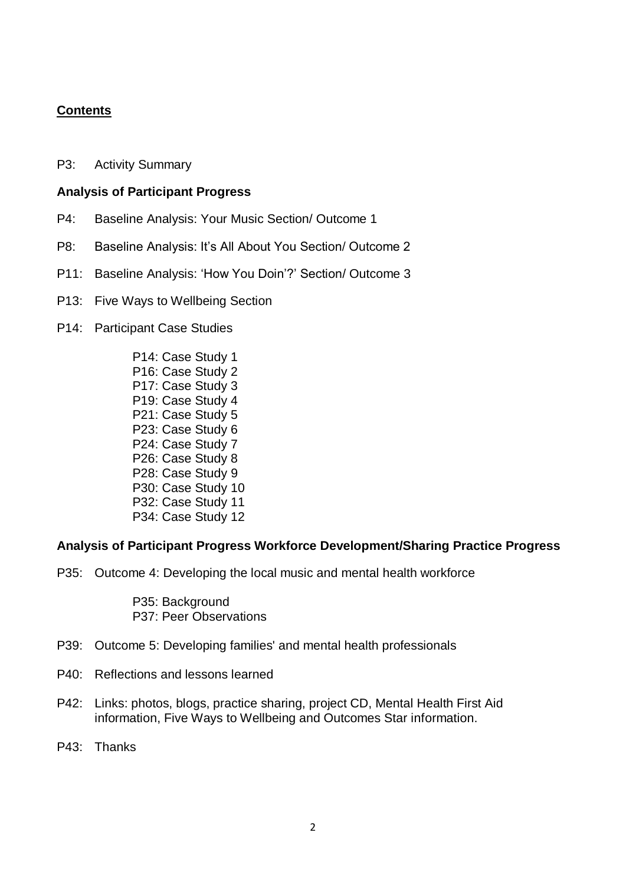#### **Contents**

P3: Activity Summary

#### **Analysis of Participant Progress**

- P4: Baseline Analysis: Your Music Section/ Outcome 1
- P8: Baseline Analysis: It's All About You Section/ Outcome 2
- P11: Baseline Analysis: 'How You Doin'?' Section/ Outcome 3
- P13: Five Ways to Wellbeing Section
- P14: Participant Case Studies

P14: Case Study 1 P16: Case Study 2 P17: Case Study 3 P19: Case Study 4 P21: Case Study 5 P23: Case Study 6 P24: Case Study 7 P26: Case Study 8 P28: Case Study 9 P30: Case Study 10 P32: Case Study 11 P34: Case Study 12

#### **Analysis of Participant Progress Workforce Development/Sharing Practice Progress**

P35: Outcome 4: Developing the local music and mental health workforce

P35: Background P37: Peer Observations

- P39: Outcome 5: Developing families' and mental health professionals
- P40: Reflections and lessons learned
- P42: Links: photos, blogs, practice sharing, project CD, Mental Health First Aid information, Five Ways to Wellbeing and Outcomes Star information.
- P43: Thanks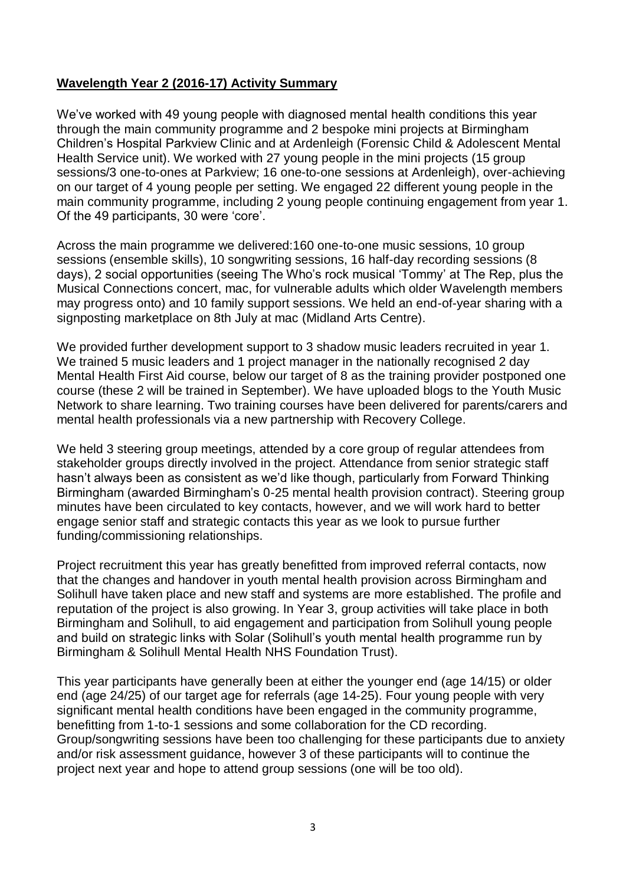#### **Wavelength Year 2 (2016-17) Activity Summary**

We've worked with 49 young people with diagnosed mental health conditions this year through the main community programme and 2 bespoke mini projects at Birmingham Children's Hospital Parkview Clinic and at Ardenleigh (Forensic Child & Adolescent Mental Health Service unit). We worked with 27 young people in the mini projects (15 group sessions/3 one-to-ones at Parkview; 16 one-to-one sessions at Ardenleigh), over-achieving on our target of 4 young people per setting. We engaged 22 different young people in the main community programme, including 2 young people continuing engagement from year 1. Of the 49 participants, 30 were 'core'.

Across the main programme we delivered:160 one-to-one music sessions, 10 group sessions (ensemble skills), 10 songwriting sessions, 16 half-day recording sessions (8 days), 2 social opportunities (seeing The Who's rock musical 'Tommy' at The Rep, plus the Musical Connections concert, mac, for vulnerable adults which older Wavelength members may progress onto) and 10 family support sessions. We held an end-of-year sharing with a signposting marketplace on 8th July at mac (Midland Arts Centre).

We provided further development support to 3 shadow music leaders recruited in year 1. We trained 5 music leaders and 1 project manager in the nationally recognised 2 day Mental Health First Aid course, below our target of 8 as the training provider postponed one course (these 2 will be trained in September). We have uploaded blogs to the Youth Music Network to share learning. Two training courses have been delivered for parents/carers and mental health professionals via a new partnership with Recovery College.

We held 3 steering group meetings, attended by a core group of regular attendees from stakeholder groups directly involved in the project. Attendance from senior strategic staff hasn't always been as consistent as we'd like though, particularly from Forward Thinking Birmingham (awarded Birmingham's 0-25 mental health provision contract). Steering group minutes have been circulated to key contacts, however, and we will work hard to better engage senior staff and strategic contacts this year as we look to pursue further funding/commissioning relationships.

Project recruitment this year has greatly benefitted from improved referral contacts, now that the changes and handover in youth mental health provision across Birmingham and Solihull have taken place and new staff and systems are more established. The profile and reputation of the project is also growing. In Year 3, group activities will take place in both Birmingham and Solihull, to aid engagement and participation from Solihull young people and build on strategic links with Solar (Solihull's youth mental health programme run by Birmingham & Solihull Mental Health NHS Foundation Trust).

This year participants have generally been at either the younger end (age 14/15) or older end (age 24/25) of our target age for referrals (age 14-25). Four young people with very significant mental health conditions have been engaged in the community programme, benefitting from 1-to-1 sessions and some collaboration for the CD recording. Group/songwriting sessions have been too challenging for these participants due to anxiety and/or risk assessment guidance, however 3 of these participants will to continue the project next year and hope to attend group sessions (one will be too old).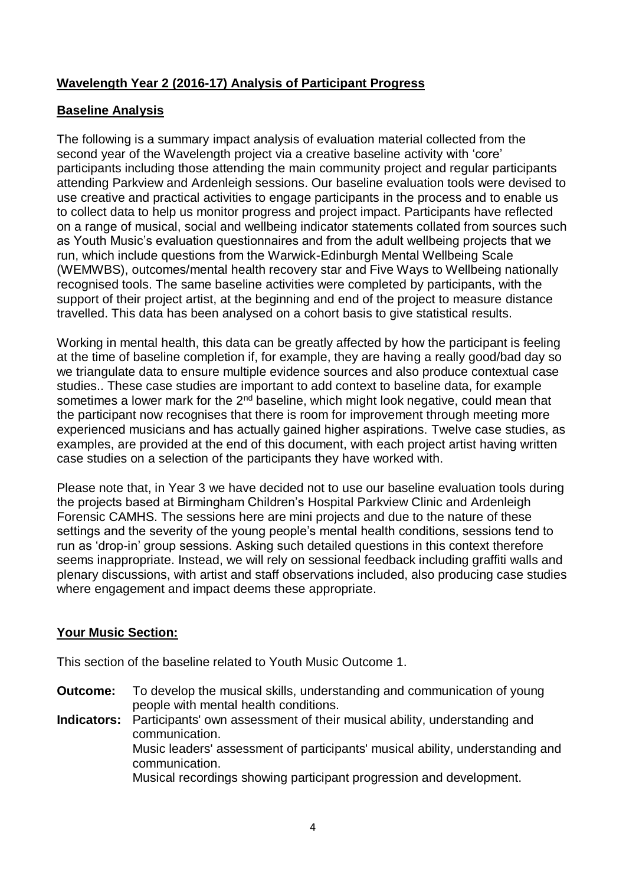#### **Wavelength Year 2 (2016-17) Analysis of Participant Progress**

#### **Baseline Analysis**

The following is a summary impact analysis of evaluation material collected from the second year of the Wavelength project via a creative baseline activity with 'core' participants including those attending the main community project and regular participants attending Parkview and Ardenleigh sessions. Our baseline evaluation tools were devised to use creative and practical activities to engage participants in the process and to enable us to collect data to help us monitor progress and project impact. Participants have reflected on a range of musical, social and wellbeing indicator statements collated from sources such as Youth Music's evaluation questionnaires and from the adult wellbeing projects that we run, which include questions from the Warwick-Edinburgh Mental Wellbeing Scale (WEMWBS), outcomes/mental health recovery star and Five Ways to Wellbeing nationally recognised tools. The same baseline activities were completed by participants, with the support of their project artist, at the beginning and end of the project to measure distance travelled. This data has been analysed on a cohort basis to give statistical results.

Working in mental health, this data can be greatly affected by how the participant is feeling at the time of baseline completion if, for example, they are having a really good/bad day so we triangulate data to ensure multiple evidence sources and also produce contextual case studies.. These case studies are important to add context to baseline data, for example sometimes a lower mark for the  $2<sup>nd</sup>$  baseline, which might look negative, could mean that the participant now recognises that there is room for improvement through meeting more experienced musicians and has actually gained higher aspirations. Twelve case studies, as examples, are provided at the end of this document, with each project artist having written case studies on a selection of the participants they have worked with.

Please note that, in Year 3 we have decided not to use our baseline evaluation tools during the projects based at Birmingham Children's Hospital Parkview Clinic and Ardenleigh Forensic CAMHS. The sessions here are mini projects and due to the nature of these settings and the severity of the young people's mental health conditions, sessions tend to run as 'drop-in' group sessions. Asking such detailed questions in this context therefore seems inappropriate. Instead, we will rely on sessional feedback including graffiti walls and plenary discussions, with artist and staff observations included, also producing case studies where engagement and impact deems these appropriate.

#### **Your Music Section:**

This section of the baseline related to Youth Music Outcome 1.

- **Outcome:** To develop the musical skills, understanding and communication of young people with mental health conditions.
- **Indicators:** Participants' own assessment of their musical ability, understanding and communication. Music leaders' assessment of participants' musical ability, understanding and communication. Musical recordings showing participant progression and development.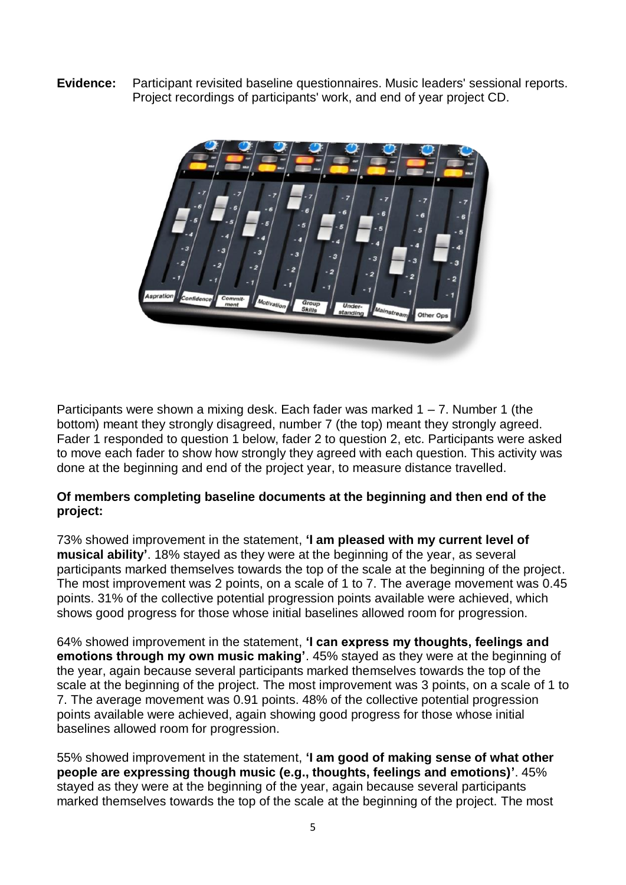**Evidence:** Participant revisited baseline questionnaires. Music leaders' sessional reports. Project recordings of participants' work, and end of year project CD.



Participants were shown a mixing desk. Each fader was marked  $1 - 7$ . Number 1 (the bottom) meant they strongly disagreed, number 7 (the top) meant they strongly agreed. Fader 1 responded to question 1 below, fader 2 to question 2, etc. Participants were asked to move each fader to show how strongly they agreed with each question. This activity was done at the beginning and end of the project year, to measure distance travelled.

#### **Of members completing baseline documents at the beginning and then end of the project:**

73% showed improvement in the statement, **'I am pleased with my current level of musical ability'**. 18% stayed as they were at the beginning of the year, as several participants marked themselves towards the top of the scale at the beginning of the project. The most improvement was 2 points, on a scale of 1 to 7. The average movement was 0.45 points. 31% of the collective potential progression points available were achieved, which shows good progress for those whose initial baselines allowed room for progression.

64% showed improvement in the statement, **'I can express my thoughts, feelings and emotions through my own music making'**. 45% stayed as they were at the beginning of the year, again because several participants marked themselves towards the top of the scale at the beginning of the project. The most improvement was 3 points, on a scale of 1 to 7. The average movement was 0.91 points. 48% of the collective potential progression points available were achieved, again showing good progress for those whose initial baselines allowed room for progression.

55% showed improvement in the statement, **'I am good of making sense of what other people are expressing though music (e.g., thoughts, feelings and emotions)'**. 45% stayed as they were at the beginning of the year, again because several participants marked themselves towards the top of the scale at the beginning of the project. The most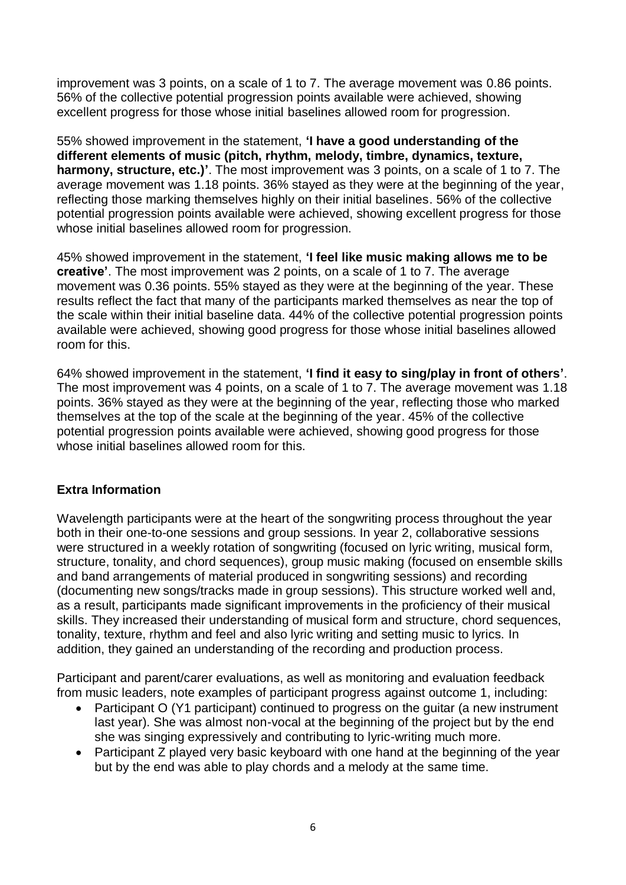improvement was 3 points, on a scale of 1 to 7. The average movement was 0.86 points. 56% of the collective potential progression points available were achieved, showing excellent progress for those whose initial baselines allowed room for progression.

55% showed improvement in the statement, **'I have a good understanding of the different elements of music (pitch, rhythm, melody, timbre, dynamics, texture, harmony, structure, etc.)'**. The most improvement was 3 points, on a scale of 1 to 7. The average movement was 1.18 points. 36% stayed as they were at the beginning of the year, reflecting those marking themselves highly on their initial baselines. 56% of the collective potential progression points available were achieved, showing excellent progress for those whose initial baselines allowed room for progression.

45% showed improvement in the statement, **'I feel like music making allows me to be creative'**. The most improvement was 2 points, on a scale of 1 to 7. The average movement was 0.36 points. 55% stayed as they were at the beginning of the year. These results reflect the fact that many of the participants marked themselves as near the top of the scale within their initial baseline data. 44% of the collective potential progression points available were achieved, showing good progress for those whose initial baselines allowed room for this.

64% showed improvement in the statement, **'I find it easy to sing/play in front of others'**. The most improvement was 4 points, on a scale of 1 to 7. The average movement was 1.18 points. 36% stayed as they were at the beginning of the year, reflecting those who marked themselves at the top of the scale at the beginning of the year. 45% of the collective potential progression points available were achieved, showing good progress for those whose initial baselines allowed room for this.

#### **Extra Information**

Wavelength participants were at the heart of the songwriting process throughout the year both in their one-to-one sessions and group sessions. In year 2, collaborative sessions were structured in a weekly rotation of songwriting (focused on lyric writing, musical form, structure, tonality, and chord sequences), group music making (focused on ensemble skills and band arrangements of material produced in songwriting sessions) and recording (documenting new songs/tracks made in group sessions). This structure worked well and, as a result, participants made significant improvements in the proficiency of their musical skills. They increased their understanding of musical form and structure, chord sequences, tonality, texture, rhythm and feel and also lyric writing and setting music to lyrics. In addition, they gained an understanding of the recording and production process.

Participant and parent/carer evaluations, as well as monitoring and evaluation feedback from music leaders, note examples of participant progress against outcome 1, including:

- Participant O (Y1 participant) continued to progress on the quitar (a new instrument last year). She was almost non-vocal at the beginning of the project but by the end she was singing expressively and contributing to lyric-writing much more.
- Participant Z played very basic keyboard with one hand at the beginning of the year but by the end was able to play chords and a melody at the same time.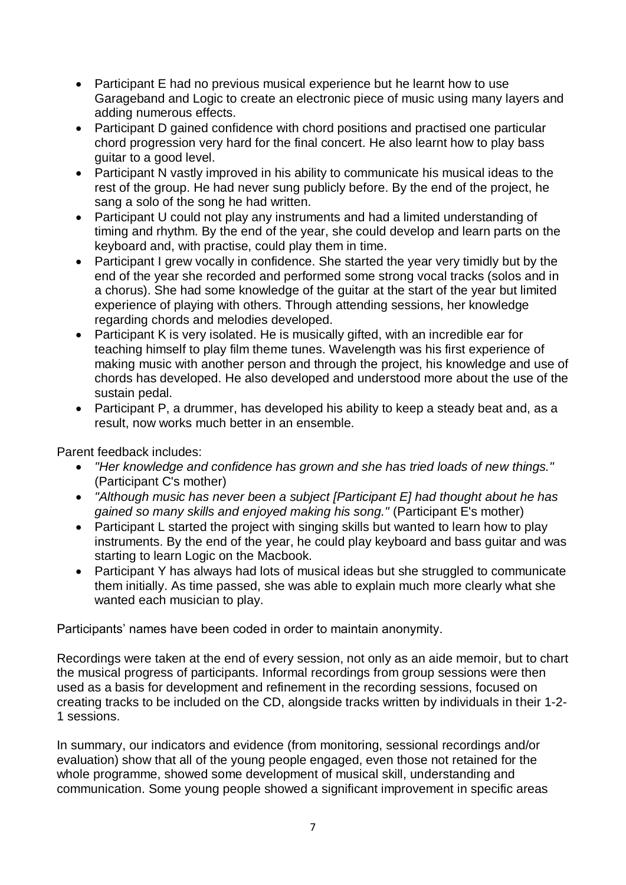- Participant E had no previous musical experience but he learnt how to use Garageband and Logic to create an electronic piece of music using many layers and adding numerous effects.
- Participant D gained confidence with chord positions and practised one particular chord progression very hard for the final concert. He also learnt how to play bass guitar to a good level.
- Participant N vastly improved in his ability to communicate his musical ideas to the rest of the group. He had never sung publicly before. By the end of the project, he sang a solo of the song he had written.
- Participant U could not play any instruments and had a limited understanding of timing and rhythm. By the end of the year, she could develop and learn parts on the keyboard and, with practise, could play them in time.
- Participant I grew vocally in confidence. She started the year very timidly but by the end of the year she recorded and performed some strong vocal tracks (solos and in a chorus). She had some knowledge of the guitar at the start of the year but limited experience of playing with others. Through attending sessions, her knowledge regarding chords and melodies developed.
- Participant K is very isolated. He is musically gifted, with an incredible ear for teaching himself to play film theme tunes. Wavelength was his first experience of making music with another person and through the project, his knowledge and use of chords has developed. He also developed and understood more about the use of the sustain pedal.
- Participant P, a drummer, has developed his ability to keep a steady beat and, as a result, now works much better in an ensemble.

Parent feedback includes:

- *"Her knowledge and confidence has grown and she has tried loads of new things."* (Participant C's mother)
- *"Although music has never been a subject [Participant E] had thought about he has gained so many skills and enjoyed making his song."* (Participant E's mother)
- Participant L started the project with singing skills but wanted to learn how to play instruments. By the end of the year, he could play keyboard and bass guitar and was starting to learn Logic on the Macbook.
- Participant Y has always had lots of musical ideas but she struggled to communicate them initially. As time passed, she was able to explain much more clearly what she wanted each musician to play.

Participants' names have been coded in order to maintain anonymity.

Recordings were taken at the end of every session, not only as an aide memoir, but to chart the musical progress of participants. Informal recordings from group sessions were then used as a basis for development and refinement in the recording sessions, focused on creating tracks to be included on the CD, alongside tracks written by individuals in their 1-2- 1 sessions.

In summary, our indicators and evidence (from monitoring, sessional recordings and/or evaluation) show that all of the young people engaged, even those not retained for the whole programme, showed some development of musical skill, understanding and communication. Some young people showed a significant improvement in specific areas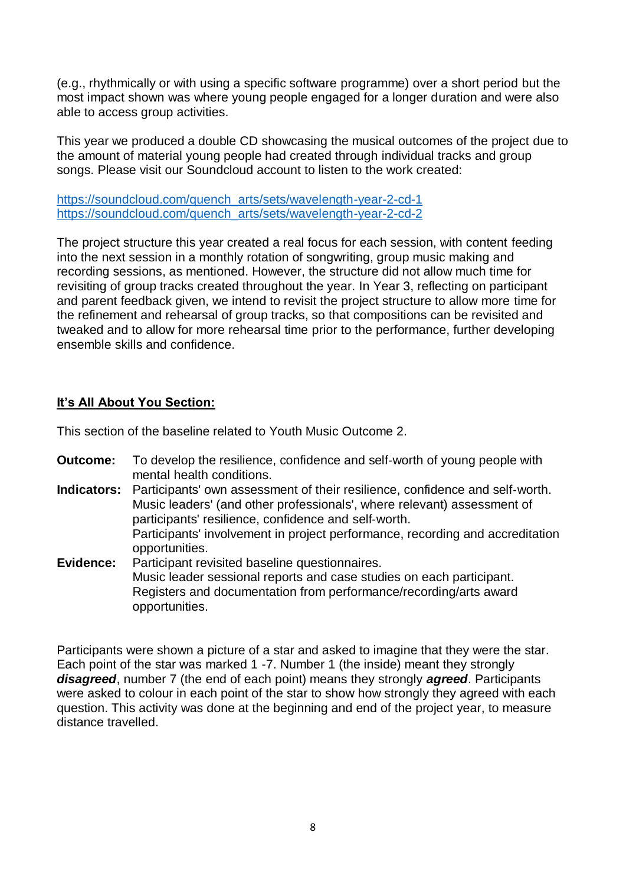(e.g., rhythmically or with using a specific software programme) over a short period but the most impact shown was where young people engaged for a longer duration and were also able to access group activities.

This year we produced a double CD showcasing the musical outcomes of the project due to the amount of material young people had created through individual tracks and group songs. Please visit our Soundcloud account to listen to the work created:

[https://soundcloud.com/quench\\_arts/sets/wavelength-year-2-cd-1](https://soundcloud.com/quench_arts/sets/wavelength-year-2-cd-1) [https://soundcloud.com/quench\\_arts/sets/wavelength-year-2-cd-2](https://soundcloud.com/quench_arts/sets/wavelength-year-2-cd-2)

The project structure this year created a real focus for each session, with content feeding into the next session in a monthly rotation of songwriting, group music making and recording sessions, as mentioned. However, the structure did not allow much time for revisiting of group tracks created throughout the year. In Year 3, reflecting on participant and parent feedback given, we intend to revisit the project structure to allow more time for the refinement and rehearsal of group tracks, so that compositions can be revisited and tweaked and to allow for more rehearsal time prior to the performance, further developing ensemble skills and confidence.

#### **It's All About You Section:**

This section of the baseline related to Youth Music Outcome 2.

- **Outcome:** To develop the resilience, confidence and self-worth of young people with mental health conditions.
- **Indicators:** Participants' own assessment of their resilience, confidence and self‐worth. Music leaders' (and other professionals', where relevant) assessment of participants' resilience, confidence and self‐worth. Participants' involvement in project performance, recording and accreditation opportunities.
- **Evidence:** Participant revisited baseline questionnaires. Music leader sessional reports and case studies on each participant. Registers and documentation from performance/recording/arts award opportunities.

Participants were shown a picture of a star and asked to imagine that they were the star. Each point of the star was marked 1 -7. Number 1 (the inside) meant they strongly *disagreed*, number 7 (the end of each point) means they strongly *agreed*. Participants were asked to colour in each point of the star to show how strongly they agreed with each question. This activity was done at the beginning and end of the project year, to measure distance travelled.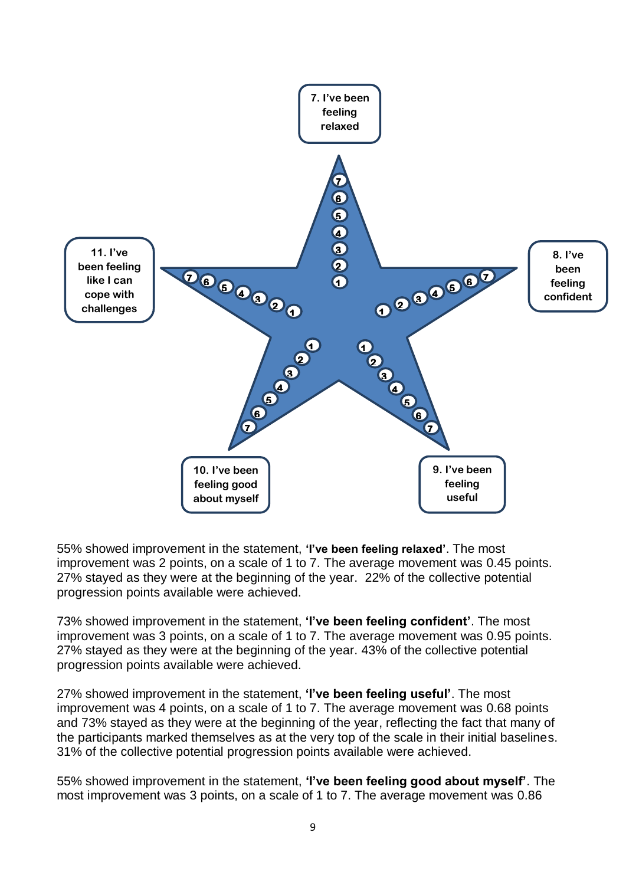

55% showed improvement in the statement, **'I've been feeling relaxed'**. The most improvement was 2 points, on a scale of 1 to 7. The average movement was 0.45 points. 27% stayed as they were at the beginning of the year. 22% of the collective potential progression points available were achieved.

73% showed improvement in the statement, **'I've been feeling confident'**. The most improvement was 3 points, on a scale of 1 to 7. The average movement was 0.95 points. 27% stayed as they were at the beginning of the year. 43% of the collective potential progression points available were achieved.

27% showed improvement in the statement, **'I've been feeling useful'**. The most improvement was 4 points, on a scale of 1 to 7. The average movement was 0.68 points and 73% stayed as they were at the beginning of the year, reflecting the fact that many of the participants marked themselves as at the very top of the scale in their initial baselines. 31% of the collective potential progression points available were achieved.

55% showed improvement in the statement, **'I've been feeling good about myself'**. The most improvement was 3 points, on a scale of 1 to 7. The average movement was 0.86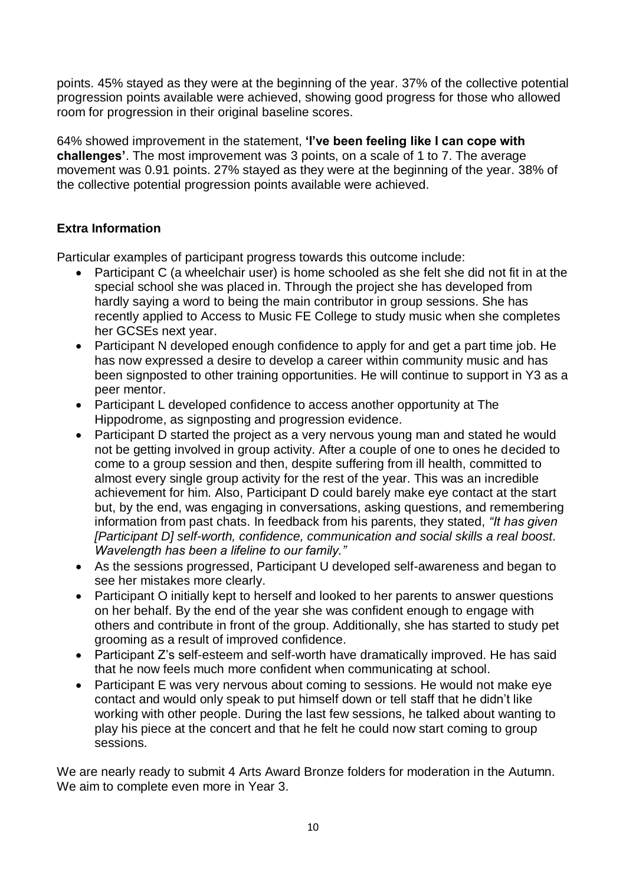points. 45% stayed as they were at the beginning of the year. 37% of the collective potential progression points available were achieved, showing good progress for those who allowed room for progression in their original baseline scores.

64% showed improvement in the statement, **'I've been feeling like I can cope with challenges'**. The most improvement was 3 points, on a scale of 1 to 7. The average movement was 0.91 points. 27% stayed as they were at the beginning of the year. 38% of the collective potential progression points available were achieved.

#### **Extra Information**

Particular examples of participant progress towards this outcome include:

- Participant C (a wheelchair user) is home schooled as she felt she did not fit in at the special school she was placed in. Through the project she has developed from hardly saying a word to being the main contributor in group sessions. She has recently applied to Access to Music FE College to study music when she completes her GCSEs next year.
- Participant N developed enough confidence to apply for and get a part time job. He has now expressed a desire to develop a career within community music and has been signposted to other training opportunities. He will continue to support in Y3 as a peer mentor.
- Participant L developed confidence to access another opportunity at The Hippodrome, as signposting and progression evidence.
- Participant D started the project as a very nervous young man and stated he would not be getting involved in group activity. After a couple of one to ones he decided to come to a group session and then, despite suffering from ill health, committed to almost every single group activity for the rest of the year. This was an incredible achievement for him. Also, Participant D could barely make eye contact at the start but, by the end, was engaging in conversations, asking questions, and remembering information from past chats. In feedback from his parents, they stated, *"It has given [Participant D] self-worth, confidence, communication and social skills a real boost. Wavelength has been a lifeline to our family."*
- As the sessions progressed, Participant U developed self-awareness and began to see her mistakes more clearly.
- Participant O initially kept to herself and looked to her parents to answer questions on her behalf. By the end of the year she was confident enough to engage with others and contribute in front of the group. Additionally, she has started to study pet grooming as a result of improved confidence.
- Participant Z's self-esteem and self-worth have dramatically improved. He has said that he now feels much more confident when communicating at school.
- Participant E was very nervous about coming to sessions. He would not make eye contact and would only speak to put himself down or tell staff that he didn't like working with other people. During the last few sessions, he talked about wanting to play his piece at the concert and that he felt he could now start coming to group sessions.

We are nearly ready to submit 4 Arts Award Bronze folders for moderation in the Autumn. We aim to complete even more in Year 3.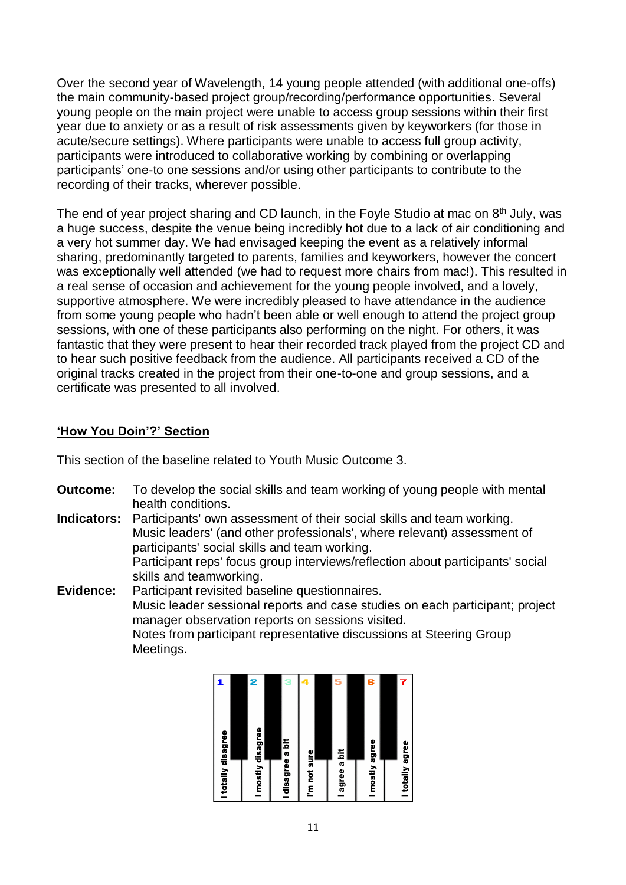Over the second year of Wavelength, 14 young people attended (with additional one-offs) the main community-based project group/recording/performance opportunities. Several young people on the main project were unable to access group sessions within their first year due to anxiety or as a result of risk assessments given by keyworkers (for those in acute/secure settings). Where participants were unable to access full group activity, participants were introduced to collaborative working by combining or overlapping participants' one-to one sessions and/or using other participants to contribute to the recording of their tracks, wherever possible.

The end of year project sharing and CD launch, in the Foyle Studio at mac on 8<sup>th</sup> July, was a huge success, despite the venue being incredibly hot due to a lack of air conditioning and a very hot summer day. We had envisaged keeping the event as a relatively informal sharing, predominantly targeted to parents, families and keyworkers, however the concert was exceptionally well attended (we had to request more chairs from mac!). This resulted in a real sense of occasion and achievement for the young people involved, and a lovely, supportive atmosphere. We were incredibly pleased to have attendance in the audience from some young people who hadn't been able or well enough to attend the project group sessions, with one of these participants also performing on the night. For others, it was fantastic that they were present to hear their recorded track played from the project CD and to hear such positive feedback from the audience. All participants received a CD of the original tracks created in the project from their one-to-one and group sessions, and a certificate was presented to all involved.

#### **'How You Doin'?' Section**

This section of the baseline related to Youth Music Outcome 3.

**Outcome:** To develop the social skills and team working of young people with mental health conditions.

**Indicators:** Participants' own assessment of their social skills and team working. Music leaders' (and other professionals', where relevant) assessment of participants' social skills and team working. Participant reps' focus group interviews/reflection about participants' social skills and teamworking.

**Evidence:** Participant revisited baseline questionnaires. Music leader sessional reports and case studies on each participant; project manager observation reports on sessions visited. Notes from participant representative discussions at Steering Group Meetings.

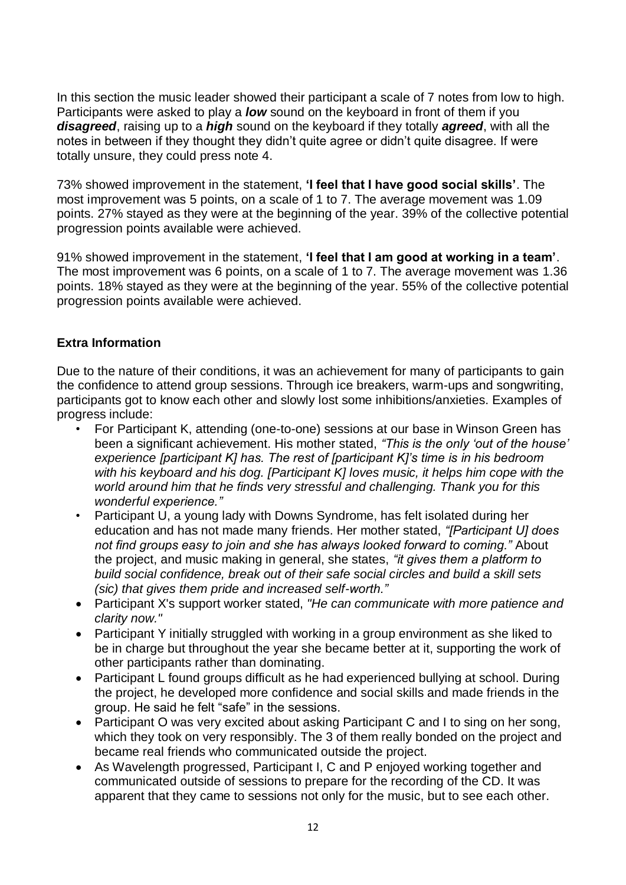In this section the music leader showed their participant a scale of 7 notes from low to high. Participants were asked to play a *low* sound on the keyboard in front of them if you *disagreed*, raising up to a *high* sound on the keyboard if they totally *agreed*, with all the notes in between if they thought they didn't quite agree or didn't quite disagree. If were totally unsure, they could press note 4.

73% showed improvement in the statement, **'I feel that I have good social skills'**. The most improvement was 5 points, on a scale of 1 to 7. The average movement was 1.09 points. 27% stayed as they were at the beginning of the year. 39% of the collective potential progression points available were achieved.

91% showed improvement in the statement, **'I feel that I am good at working in a team'**. The most improvement was 6 points, on a scale of 1 to 7. The average movement was 1.36 points. 18% stayed as they were at the beginning of the year. 55% of the collective potential progression points available were achieved.

#### **Extra Information**

Due to the nature of their conditions, it was an achievement for many of participants to gain the confidence to attend group sessions. Through ice breakers, warm-ups and songwriting, participants got to know each other and slowly lost some inhibitions/anxieties. Examples of progress include:

- For Participant K, attending (one-to-one) sessions at our base in Winson Green has been a significant achievement. His mother stated, *"This is the only 'out of the house' experience [participant K] has. The rest of [participant K]'s time is in his bedroom with his keyboard and his dog. [Participant K] loves music, it helps him cope with the world around him that he finds very stressful and challenging. Thank you for this wonderful experience."*
- Participant U, a young lady with Downs Syndrome, has felt isolated during her education and has not made many friends. Her mother stated, *"[Participant U] does not find groups easy to join and she has always looked forward to coming."* About the project, and music making in general, she states, *"it gives them a platform to build social confidence, break out of their safe social circles and build a skill sets (sic) that gives them pride and increased self-worth."*
- Participant X's support worker stated, *"He can communicate with more patience and clarity now."*
- Participant Y initially struggled with working in a group environment as she liked to be in charge but throughout the year she became better at it, supporting the work of other participants rather than dominating.
- Participant L found groups difficult as he had experienced bullying at school. During the project, he developed more confidence and social skills and made friends in the group. He said he felt "safe" in the sessions.
- Participant O was very excited about asking Participant C and I to sing on her song, which they took on very responsibly. The 3 of them really bonded on the project and became real friends who communicated outside the project.
- As Wavelength progressed, Participant I, C and P enjoyed working together and communicated outside of sessions to prepare for the recording of the CD. It was apparent that they came to sessions not only for the music, but to see each other.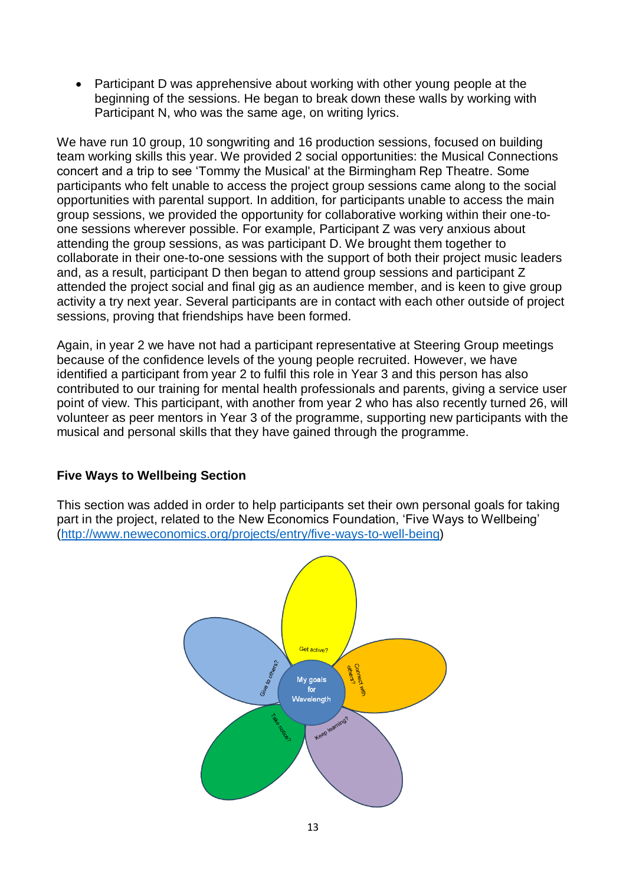• Participant D was apprehensive about working with other young people at the beginning of the sessions. He began to break down these walls by working with Participant N, who was the same age, on writing lyrics.

We have run 10 group, 10 songwriting and 16 production sessions, focused on building team working skills this year. We provided 2 social opportunities: the Musical Connections concert and a trip to see 'Tommy the Musical' at the Birmingham Rep Theatre. Some participants who felt unable to access the project group sessions came along to the social opportunities with parental support. In addition, for participants unable to access the main group sessions, we provided the opportunity for collaborative working within their one-toone sessions wherever possible. For example, Participant Z was very anxious about attending the group sessions, as was participant D. We brought them together to collaborate in their one-to-one sessions with the support of both their project music leaders and, as a result, participant D then began to attend group sessions and participant Z attended the project social and final gig as an audience member, and is keen to give group activity a try next year. Several participants are in contact with each other outside of project sessions, proving that friendships have been formed.

Again, in year 2 we have not had a participant representative at Steering Group meetings because of the confidence levels of the young people recruited. However, we have identified a participant from year 2 to fulfil this role in Year 3 and this person has also contributed to our training for mental health professionals and parents, giving a service user point of view. This participant, with another from year 2 who has also recently turned 26, will volunteer as peer mentors in Year 3 of the programme, supporting new participants with the musical and personal skills that they have gained through the programme.

#### **Five Ways to Wellbeing Section**

This section was added in order to help participants set their own personal goals for taking part in the project, related to the New Economics Foundation, 'Five Ways to Wellbeing' [\(http://www.neweconomics.org/projects/entry/five-ways-to-well-being\)](http://www.neweconomics.org/projects/entry/five-ways-to-well-being)

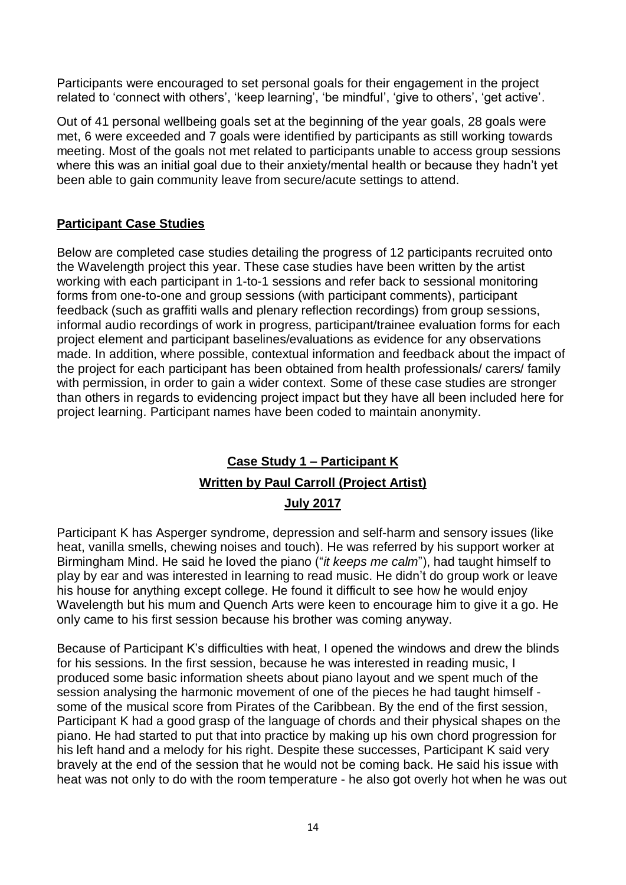Participants were encouraged to set personal goals for their engagement in the project related to 'connect with others', 'keep learning', 'be mindful', 'give to others', 'get active'.

Out of 41 personal wellbeing goals set at the beginning of the year goals, 28 goals were met, 6 were exceeded and 7 goals were identified by participants as still working towards meeting. Most of the goals not met related to participants unable to access group sessions where this was an initial goal due to their anxiety/mental health or because they hadn't yet been able to gain community leave from secure/acute settings to attend.

#### **Participant Case Studies**

Below are completed case studies detailing the progress of 12 participants recruited onto the Wavelength project this year. These case studies have been written by the artist working with each participant in 1-to-1 sessions and refer back to sessional monitoring forms from one-to-one and group sessions (with participant comments), participant feedback (such as graffiti walls and plenary reflection recordings) from group sessions, informal audio recordings of work in progress, participant/trainee evaluation forms for each project element and participant baselines/evaluations as evidence for any observations made. In addition, where possible, contextual information and feedback about the impact of the project for each participant has been obtained from health professionals/ carers/ family with permission, in order to gain a wider context. Some of these case studies are stronger than others in regards to evidencing project impact but they have all been included here for project learning. Participant names have been coded to maintain anonymity.

### **Case Study 1 – Participant K Written by Paul Carroll (Project Artist) July 2017**

Participant K has Asperger syndrome, depression and self-harm and sensory issues (like heat, vanilla smells, chewing noises and touch). He was referred by his support worker at Birmingham Mind. He said he loved the piano ("*it keeps me calm*"), had taught himself to play by ear and was interested in learning to read music. He didn't do group work or leave his house for anything except college. He found it difficult to see how he would enjoy Wavelength but his mum and Quench Arts were keen to encourage him to give it a go. He only came to his first session because his brother was coming anyway.

Because of Participant K's difficulties with heat, I opened the windows and drew the blinds for his sessions. In the first session, because he was interested in reading music, I produced some basic information sheets about piano layout and we spent much of the session analysing the harmonic movement of one of the pieces he had taught himself some of the musical score from Pirates of the Caribbean. By the end of the first session, Participant K had a good grasp of the language of chords and their physical shapes on the piano. He had started to put that into practice by making up his own chord progression for his left hand and a melody for his right. Despite these successes, Participant K said very bravely at the end of the session that he would not be coming back. He said his issue with heat was not only to do with the room temperature - he also got overly hot when he was out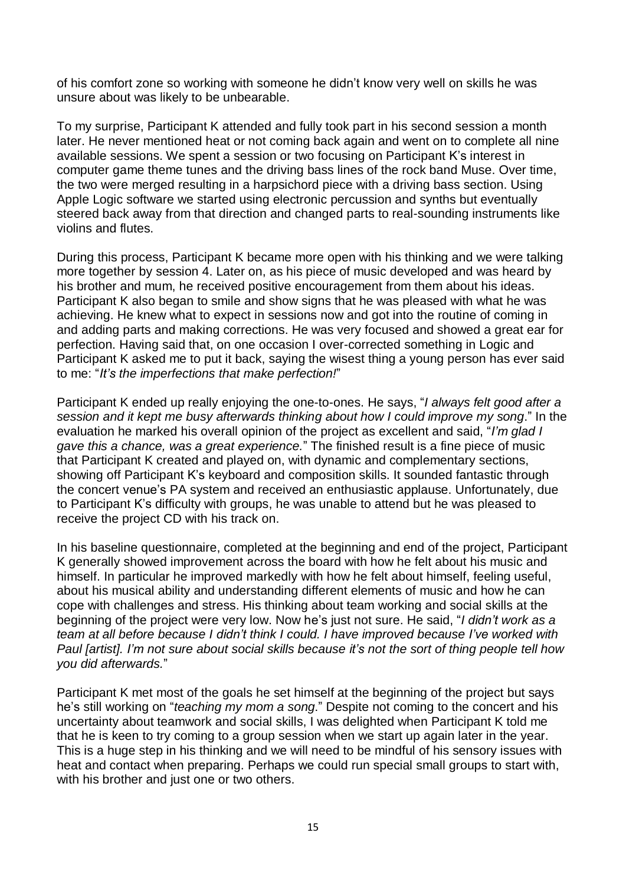of his comfort zone so working with someone he didn't know very well on skills he was unsure about was likely to be unbearable.

To my surprise, Participant K attended and fully took part in his second session a month later. He never mentioned heat or not coming back again and went on to complete all nine available sessions. We spent a session or two focusing on Participant K's interest in computer game theme tunes and the driving bass lines of the rock band Muse. Over time, the two were merged resulting in a harpsichord piece with a driving bass section. Using Apple Logic software we started using electronic percussion and synths but eventually steered back away from that direction and changed parts to real-sounding instruments like violins and flutes.

During this process, Participant K became more open with his thinking and we were talking more together by session 4. Later on, as his piece of music developed and was heard by his brother and mum, he received positive encouragement from them about his ideas. Participant K also began to smile and show signs that he was pleased with what he was achieving. He knew what to expect in sessions now and got into the routine of coming in and adding parts and making corrections. He was very focused and showed a great ear for perfection. Having said that, on one occasion I over-corrected something in Logic and Participant K asked me to put it back, saying the wisest thing a young person has ever said to me: "*It's the imperfections that make perfection!*"

Participant K ended up really enjoying the one-to-ones. He says, "*I always felt good after a session and it kept me busy afterwards thinking about how I could improve my song*." In the evaluation he marked his overall opinion of the project as excellent and said, "*I'm glad I gave this a chance, was a great experience.*" The finished result is a fine piece of music that Participant K created and played on, with dynamic and complementary sections, showing off Participant K's keyboard and composition skills. It sounded fantastic through the concert venue's PA system and received an enthusiastic applause. Unfortunately, due to Participant K's difficulty with groups, he was unable to attend but he was pleased to receive the project CD with his track on.

In his baseline questionnaire, completed at the beginning and end of the project, Participant K generally showed improvement across the board with how he felt about his music and himself. In particular he improved markedly with how he felt about himself, feeling useful, about his musical ability and understanding different elements of music and how he can cope with challenges and stress. His thinking about team working and social skills at the beginning of the project were very low. Now he's just not sure. He said, "*I didn't work as a team at all before because I didn't think I could. I have improved because I've worked with Paul [artist]. I'm not sure about social skills because it's not the sort of thing people tell how you did afterwards.*"

Participant K met most of the goals he set himself at the beginning of the project but says he's still working on "*teaching my mom a song*." Despite not coming to the concert and his uncertainty about teamwork and social skills, I was delighted when Participant K told me that he is keen to try coming to a group session when we start up again later in the year. This is a huge step in his thinking and we will need to be mindful of his sensory issues with heat and contact when preparing. Perhaps we could run special small groups to start with, with his brother and just one or two others.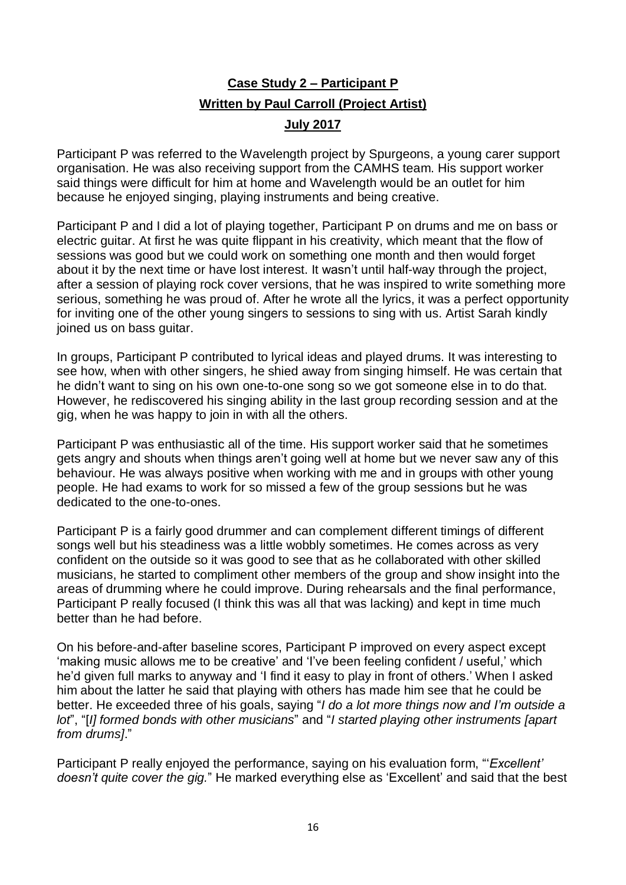# **Case Study 2 – Participant P Written by Paul Carroll (Project Artist)**

#### **July 2017**

Participant P was referred to the Wavelength project by Spurgeons, a young carer support organisation. He was also receiving support from the CAMHS team. His support worker said things were difficult for him at home and Wavelength would be an outlet for him because he enjoyed singing, playing instruments and being creative.

Participant P and I did a lot of playing together, Participant P on drums and me on bass or electric guitar. At first he was quite flippant in his creativity, which meant that the flow of sessions was good but we could work on something one month and then would forget about it by the next time or have lost interest. It wasn't until half-way through the project, after a session of playing rock cover versions, that he was inspired to write something more serious, something he was proud of. After he wrote all the lyrics, it was a perfect opportunity for inviting one of the other young singers to sessions to sing with us. Artist Sarah kindly joined us on bass guitar.

In groups, Participant P contributed to lyrical ideas and played drums. It was interesting to see how, when with other singers, he shied away from singing himself. He was certain that he didn't want to sing on his own one-to-one song so we got someone else in to do that. However, he rediscovered his singing ability in the last group recording session and at the gig, when he was happy to join in with all the others.

Participant P was enthusiastic all of the time. His support worker said that he sometimes gets angry and shouts when things aren't going well at home but we never saw any of this behaviour. He was always positive when working with me and in groups with other young people. He had exams to work for so missed a few of the group sessions but he was dedicated to the one-to-ones.

Participant P is a fairly good drummer and can complement different timings of different songs well but his steadiness was a little wobbly sometimes. He comes across as very confident on the outside so it was good to see that as he collaborated with other skilled musicians, he started to compliment other members of the group and show insight into the areas of drumming where he could improve. During rehearsals and the final performance, Participant P really focused (I think this was all that was lacking) and kept in time much better than he had before.

On his before-and-after baseline scores, Participant P improved on every aspect except 'making music allows me to be creative' and 'I've been feeling confident / useful,' which he'd given full marks to anyway and 'I find it easy to play in front of others.' When I asked him about the latter he said that playing with others has made him see that he could be better. He exceeded three of his goals, saying "*I do a lot more things now and I'm outside a lot*", "[*I] formed bonds with other musicians*" and "*I started playing other instruments [apart from drums]*."

Participant P really enjoyed the performance, saying on his evaluation form, "'*Excellent' doesn't quite cover the gig.*" He marked everything else as 'Excellent' and said that the best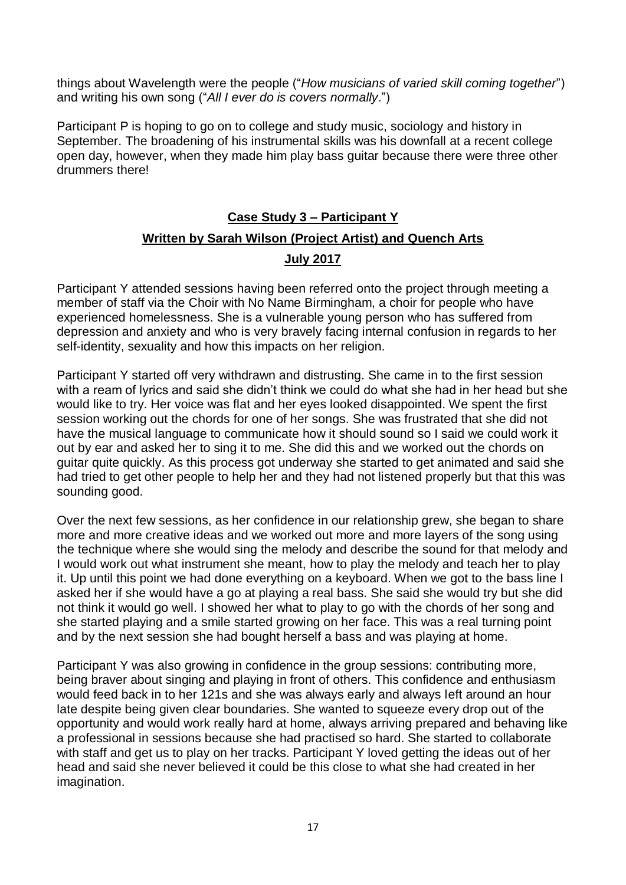things about Wavelength were the people ("*How musicians of varied skill coming together*") and writing his own song ("*All I ever do is covers normally*.")

Participant P is hoping to go on to college and study music, sociology and history in September. The broadening of his instrumental skills was his downfall at a recent college open day, however, when they made him play bass guitar because there were three other drummers there!

### **Case Study 3 – Participant Y Written by Sarah Wilson (Project Artist) and Quench Arts July 2017**

Participant Y attended sessions having been referred onto the project through meeting a member of staff via the Choir with No Name Birmingham, a choir for people who have experienced homelessness. She is a vulnerable young person who has suffered from depression and anxiety and who is very bravely facing internal confusion in regards to her self-identity, sexuality and how this impacts on her religion.

Participant Y started off very withdrawn and distrusting. She came in to the first session with a ream of lyrics and said she didn't think we could do what she had in her head but she would like to try. Her voice was flat and her eyes looked disappointed. We spent the first session working out the chords for one of her songs. She was frustrated that she did not have the musical language to communicate how it should sound so I said we could work it out by ear and asked her to sing it to me. She did this and we worked out the chords on guitar quite quickly. As this process got underway she started to get animated and said she had tried to get other people to help her and they had not listened properly but that this was sounding good.

Over the next few sessions, as her confidence in our relationship grew, she began to share more and more creative ideas and we worked out more and more layers of the song using the technique where she would sing the melody and describe the sound for that melody and I would work out what instrument she meant, how to play the melody and teach her to play it. Up until this point we had done everything on a keyboard. When we got to the bass line I asked her if she would have a go at playing a real bass. She said she would try but she did not think it would go well. I showed her what to play to go with the chords of her song and she started playing and a smile started growing on her face. This was a real turning point and by the next session she had bought herself a bass and was playing at home.

Participant Y was also growing in confidence in the group sessions: contributing more, being braver about singing and playing in front of others. This confidence and enthusiasm would feed back in to her 121s and she was always early and always left around an hour late despite being given clear boundaries. She wanted to squeeze every drop out of the opportunity and would work really hard at home, always arriving prepared and behaving like a professional in sessions because she had practised so hard. She started to collaborate with staff and get us to play on her tracks. Participant Y loved getting the ideas out of her head and said she never believed it could be this close to what she had created in her imagination.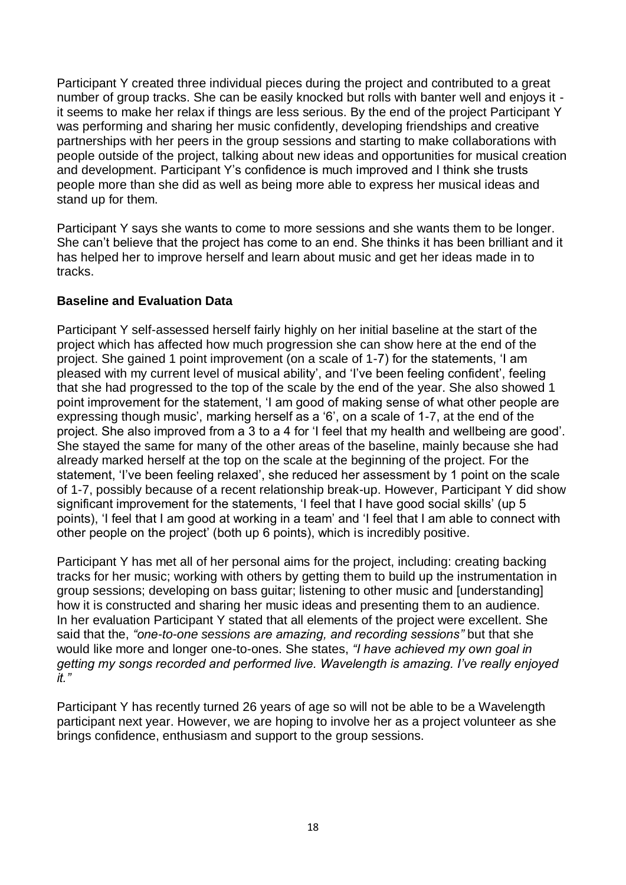Participant Y created three individual pieces during the project and contributed to a great number of group tracks. She can be easily knocked but rolls with banter well and enjoys it it seems to make her relax if things are less serious. By the end of the project Participant Y was performing and sharing her music confidently, developing friendships and creative partnerships with her peers in the group sessions and starting to make collaborations with people outside of the project, talking about new ideas and opportunities for musical creation and development. Participant Y's confidence is much improved and I think she trusts people more than she did as well as being more able to express her musical ideas and stand up for them.

Participant Y says she wants to come to more sessions and she wants them to be longer. She can't believe that the project has come to an end. She thinks it has been brilliant and it has helped her to improve herself and learn about music and get her ideas made in to tracks.

#### **Baseline and Evaluation Data**

Participant Y self-assessed herself fairly highly on her initial baseline at the start of the project which has affected how much progression she can show here at the end of the project. She gained 1 point improvement (on a scale of 1-7) for the statements, 'I am pleased with my current level of musical ability', and 'I've been feeling confident', feeling that she had progressed to the top of the scale by the end of the year. She also showed 1 point improvement for the statement, 'I am good of making sense of what other people are expressing though music', marking herself as a '6', on a scale of 1-7, at the end of the project. She also improved from a 3 to a 4 for 'I feel that my health and wellbeing are good'. She stayed the same for many of the other areas of the baseline, mainly because she had already marked herself at the top on the scale at the beginning of the project. For the statement, 'I've been feeling relaxed', she reduced her assessment by 1 point on the scale of 1-7, possibly because of a recent relationship break-up. However, Participant Y did show significant improvement for the statements, 'I feel that I have good social skills' (up 5 points), 'I feel that I am good at working in a team' and 'I feel that I am able to connect with other people on the project' (both up 6 points), which is incredibly positive.

Participant Y has met all of her personal aims for the project, including: creating backing tracks for her music; working with others by getting them to build up the instrumentation in group sessions; developing on bass guitar; listening to other music and [understanding] how it is constructed and sharing her music ideas and presenting them to an audience. In her evaluation Participant Y stated that all elements of the project were excellent. She said that the, *"one-to-one sessions are amazing, and recording sessions"* but that she would like more and longer one-to-ones. She states, *"I have achieved my own goal in getting my songs recorded and performed live. Wavelength is amazing. I've really enjoyed it."*

Participant Y has recently turned 26 years of age so will not be able to be a Wavelength participant next year. However, we are hoping to involve her as a project volunteer as she brings confidence, enthusiasm and support to the group sessions.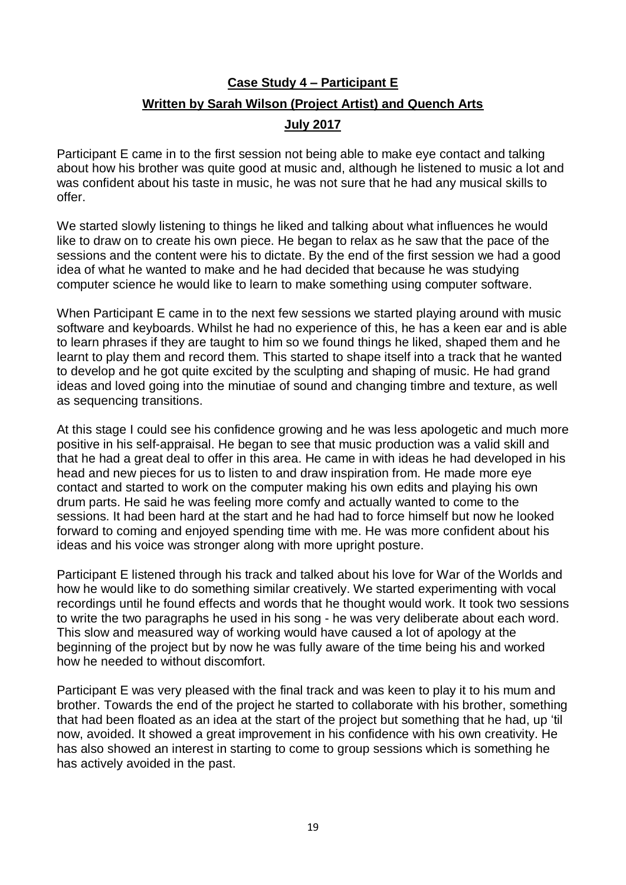## **Case Study 4 – Participant E Written by Sarah Wilson (Project Artist) and Quench Arts**

#### **July 2017**

Participant E came in to the first session not being able to make eye contact and talking about how his brother was quite good at music and, although he listened to music a lot and was confident about his taste in music, he was not sure that he had any musical skills to offer.

We started slowly listening to things he liked and talking about what influences he would like to draw on to create his own piece. He began to relax as he saw that the pace of the sessions and the content were his to dictate. By the end of the first session we had a good idea of what he wanted to make and he had decided that because he was studying computer science he would like to learn to make something using computer software.

When Participant E came in to the next few sessions we started playing around with music software and keyboards. Whilst he had no experience of this, he has a keen ear and is able to learn phrases if they are taught to him so we found things he liked, shaped them and he learnt to play them and record them. This started to shape itself into a track that he wanted to develop and he got quite excited by the sculpting and shaping of music. He had grand ideas and loved going into the minutiae of sound and changing timbre and texture, as well as sequencing transitions.

At this stage I could see his confidence growing and he was less apologetic and much more positive in his self-appraisal. He began to see that music production was a valid skill and that he had a great deal to offer in this area. He came in with ideas he had developed in his head and new pieces for us to listen to and draw inspiration from. He made more eye contact and started to work on the computer making his own edits and playing his own drum parts. He said he was feeling more comfy and actually wanted to come to the sessions. It had been hard at the start and he had had to force himself but now he looked forward to coming and enjoyed spending time with me. He was more confident about his ideas and his voice was stronger along with more upright posture.

Participant E listened through his track and talked about his love for War of the Worlds and how he would like to do something similar creatively. We started experimenting with vocal recordings until he found effects and words that he thought would work. It took two sessions to write the two paragraphs he used in his song - he was very deliberate about each word. This slow and measured way of working would have caused a lot of apology at the beginning of the project but by now he was fully aware of the time being his and worked how he needed to without discomfort.

Participant E was very pleased with the final track and was keen to play it to his mum and brother. Towards the end of the project he started to collaborate with his brother, something that had been floated as an idea at the start of the project but something that he had, up 'til now, avoided. It showed a great improvement in his confidence with his own creativity. He has also showed an interest in starting to come to group sessions which is something he has actively avoided in the past.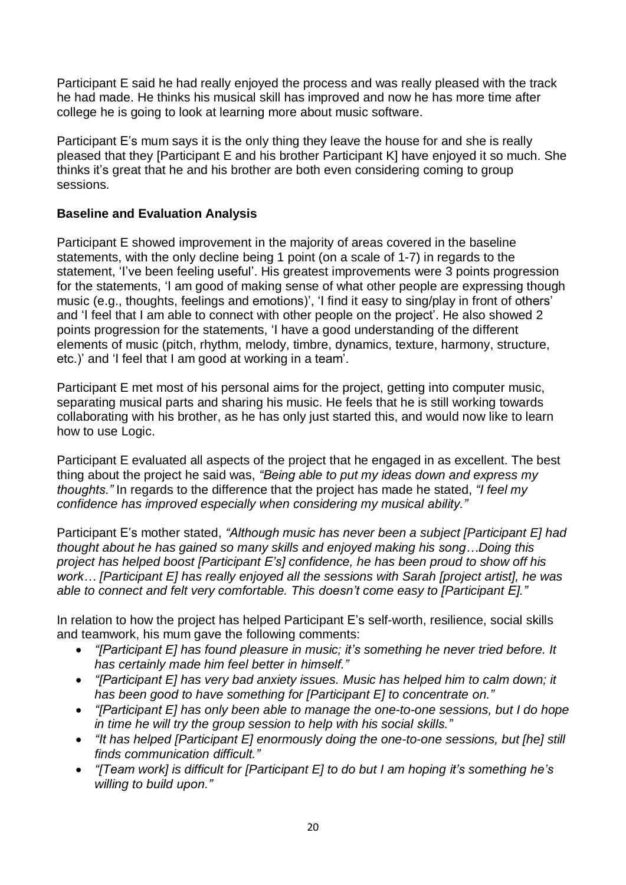Participant E said he had really enjoyed the process and was really pleased with the track he had made. He thinks his musical skill has improved and now he has more time after college he is going to look at learning more about music software.

Participant E's mum says it is the only thing they leave the house for and she is really pleased that they [Participant E and his brother Participant K] have enjoyed it so much. She thinks it's great that he and his brother are both even considering coming to group sessions.

#### **Baseline and Evaluation Analysis**

Participant E showed improvement in the majority of areas covered in the baseline statements, with the only decline being 1 point (on a scale of 1-7) in regards to the statement, 'I've been feeling useful'. His greatest improvements were 3 points progression for the statements, 'I am good of making sense of what other people are expressing though music (e.g., thoughts, feelings and emotions)', 'I find it easy to sing/play in front of others' and 'I feel that I am able to connect with other people on the project'. He also showed 2 points progression for the statements, 'I have a good understanding of the different elements of music (pitch, rhythm, melody, timbre, dynamics, texture, harmony, structure, etc.)' and 'I feel that I am good at working in a team'.

Participant E met most of his personal aims for the project, getting into computer music, separating musical parts and sharing his music. He feels that he is still working towards collaborating with his brother, as he has only just started this, and would now like to learn how to use Logic.

Participant E evaluated all aspects of the project that he engaged in as excellent. The best thing about the project he said was, *"Being able to put my ideas down and express my thoughts."* In regards to the difference that the project has made he stated, *"I feel my confidence has improved especially when considering my musical ability."*

Participant E's mother stated, *"Although music has never been a subject [Participant E] had thought about he has gained so many skills and enjoyed making his song…Doing this project has helped boost [Participant E's] confidence, he has been proud to show off his work… [Participant E] has really enjoyed all the sessions with Sarah [project artist], he was able to connect and felt very comfortable. This doesn't come easy to [Participant E]."*

In relation to how the project has helped Participant E's self-worth, resilience, social skills and teamwork, his mum gave the following comments:

- *"[Participant E] has found pleasure in music; it's something he never tried before. It has certainly made him feel better in himself."*
- *"[Participant E] has very bad anxiety issues. Music has helped him to calm down; it has been good to have something for [Participant E] to concentrate on."*
- *"[Participant E] has only been able to manage the one-to-one sessions, but I do hope in time he will try the group session to help with his social skills."*
- *"It has helped [Participant E] enormously doing the one-to-one sessions, but [he] still finds communication difficult."*
- *"[Team work] is difficult for [Participant E] to do but I am hoping it's something he's willing to build upon."*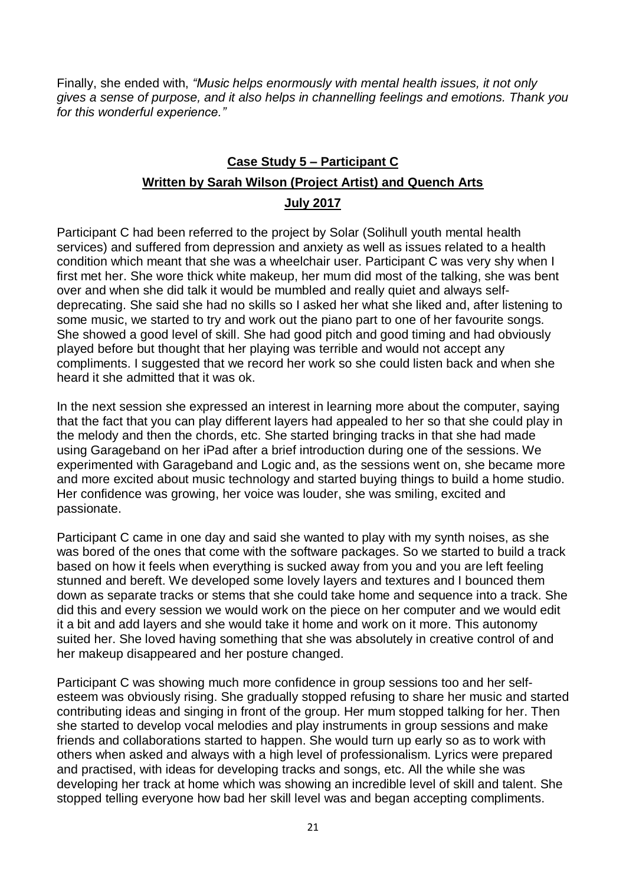Finally, she ended with, *"Music helps enormously with mental health issues, it not only gives a sense of purpose, and it also helps in channelling feelings and emotions. Thank you for this wonderful experience."*

### **Case Study 5 – Participant C Written by Sarah Wilson (Project Artist) and Quench Arts July 2017**

Participant C had been referred to the project by Solar (Solihull youth mental health services) and suffered from depression and anxiety as well as issues related to a health condition which meant that she was a wheelchair user. Participant C was very shy when I first met her. She wore thick white makeup, her mum did most of the talking, she was bent over and when she did talk it would be mumbled and really quiet and always selfdeprecating. She said she had no skills so I asked her what she liked and, after listening to some music, we started to try and work out the piano part to one of her favourite songs. She showed a good level of skill. She had good pitch and good timing and had obviously played before but thought that her playing was terrible and would not accept any compliments. I suggested that we record her work so she could listen back and when she heard it she admitted that it was ok.

In the next session she expressed an interest in learning more about the computer, saying that the fact that you can play different layers had appealed to her so that she could play in the melody and then the chords, etc. She started bringing tracks in that she had made using Garageband on her iPad after a brief introduction during one of the sessions. We experimented with Garageband and Logic and, as the sessions went on, she became more and more excited about music technology and started buying things to build a home studio. Her confidence was growing, her voice was louder, she was smiling, excited and passionate.

Participant C came in one day and said she wanted to play with my synth noises, as she was bored of the ones that come with the software packages. So we started to build a track based on how it feels when everything is sucked away from you and you are left feeling stunned and bereft. We developed some lovely layers and textures and I bounced them down as separate tracks or stems that she could take home and sequence into a track. She did this and every session we would work on the piece on her computer and we would edit it a bit and add layers and she would take it home and work on it more. This autonomy suited her. She loved having something that she was absolutely in creative control of and her makeup disappeared and her posture changed.

Participant C was showing much more confidence in group sessions too and her selfesteem was obviously rising. She gradually stopped refusing to share her music and started contributing ideas and singing in front of the group. Her mum stopped talking for her. Then she started to develop vocal melodies and play instruments in group sessions and make friends and collaborations started to happen. She would turn up early so as to work with others when asked and always with a high level of professionalism. Lyrics were prepared and practised, with ideas for developing tracks and songs, etc. All the while she was developing her track at home which was showing an incredible level of skill and talent. She stopped telling everyone how bad her skill level was and began accepting compliments.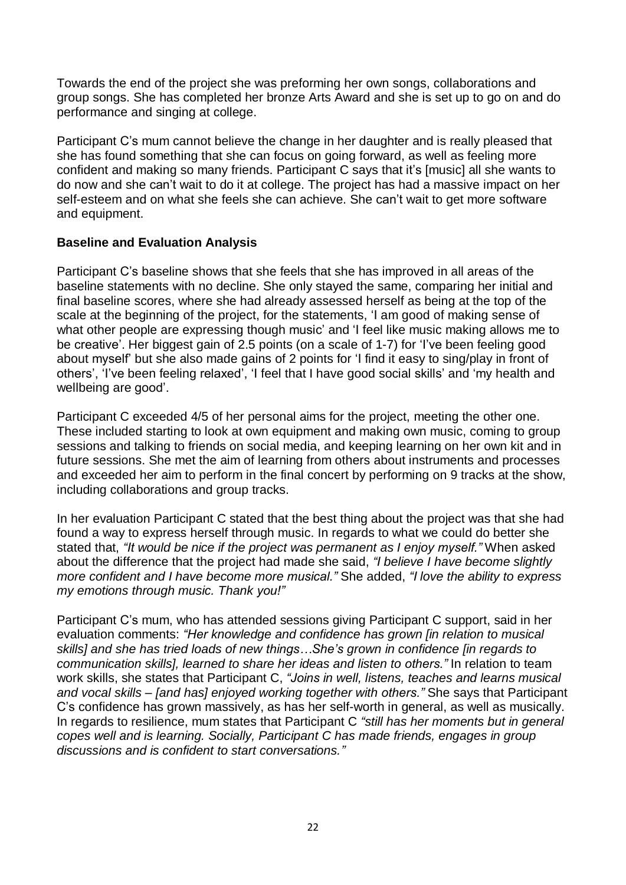Towards the end of the project she was preforming her own songs, collaborations and group songs. She has completed her bronze Arts Award and she is set up to go on and do performance and singing at college.

Participant C's mum cannot believe the change in her daughter and is really pleased that she has found something that she can focus on going forward, as well as feeling more confident and making so many friends. Participant C says that it's [music] all she wants to do now and she can't wait to do it at college. The project has had a massive impact on her self-esteem and on what she feels she can achieve. She can't wait to get more software and equipment.

#### **Baseline and Evaluation Analysis**

Participant C's baseline shows that she feels that she has improved in all areas of the baseline statements with no decline. She only stayed the same, comparing her initial and final baseline scores, where she had already assessed herself as being at the top of the scale at the beginning of the project, for the statements, 'I am good of making sense of what other people are expressing though music' and 'I feel like music making allows me to be creative'. Her biggest gain of 2.5 points (on a scale of 1-7) for 'I've been feeling good about myself' but she also made gains of 2 points for 'I find it easy to sing/play in front of others', 'I've been feeling relaxed', 'I feel that I have good social skills' and 'my health and wellbeing are good'.

Participant C exceeded 4/5 of her personal aims for the project, meeting the other one. These included starting to look at own equipment and making own music, coming to group sessions and talking to friends on social media, and keeping learning on her own kit and in future sessions. She met the aim of learning from others about instruments and processes and exceeded her aim to perform in the final concert by performing on 9 tracks at the show, including collaborations and group tracks.

In her evaluation Participant C stated that the best thing about the project was that she had found a way to express herself through music. In regards to what we could do better she stated that, *"It would be nice if the project was permanent as I enjoy myself."* When asked about the difference that the project had made she said, *"I believe I have become slightly more confident and I have become more musical."* She added, *"I love the ability to express my emotions through music. Thank you!"*

Participant C's mum, who has attended sessions giving Participant C support, said in her evaluation comments: *"Her knowledge and confidence has grown [in relation to musical skills] and she has tried loads of new things…She's grown in confidence [in regards to communication skills], learned to share her ideas and listen to others."* In relation to team work skills, she states that Participant C, *"Joins in well, listens, teaches and learns musical and vocal skills – [and has] enjoyed working together with others."* She says that Participant C's confidence has grown massively, as has her self-worth in general, as well as musically. In regards to resilience, mum states that Participant C *"still has her moments but in general copes well and is learning. Socially, Participant C has made friends, engages in group discussions and is confident to start conversations."*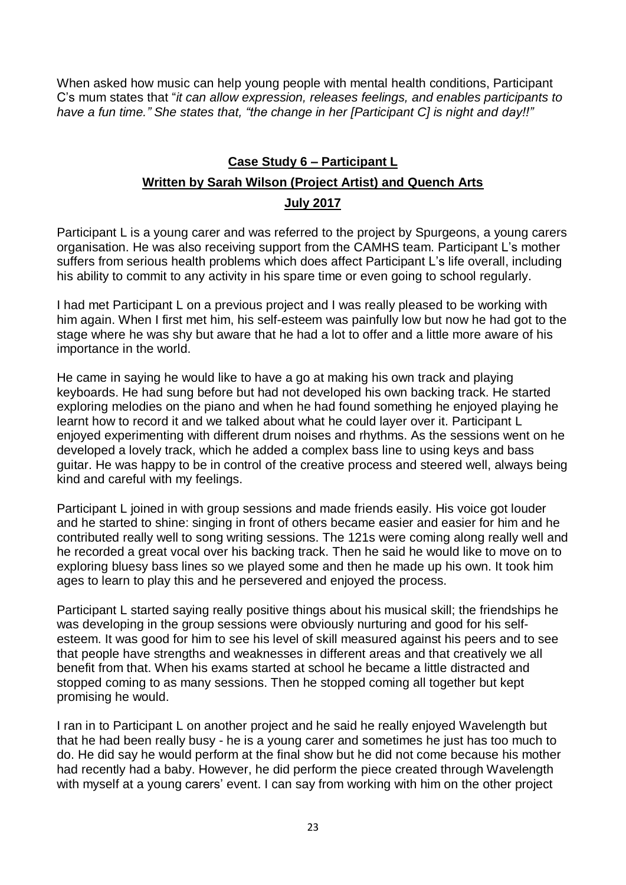When asked how music can help young people with mental health conditions, Participant C's mum states that "*it can allow expression, releases feelings, and enables participants to have a fun time." She states that, "the change in her [Participant C] is night and day!!"*

### **Case Study 6 – Participant L Written by Sarah Wilson (Project Artist) and Quench Arts July 2017**

Participant L is a young carer and was referred to the project by Spurgeons, a young carers organisation. He was also receiving support from the CAMHS team. Participant L's mother suffers from serious health problems which does affect Participant L's life overall, including his ability to commit to any activity in his spare time or even going to school regularly.

I had met Participant L on a previous project and I was really pleased to be working with him again. When I first met him, his self-esteem was painfully low but now he had got to the stage where he was shy but aware that he had a lot to offer and a little more aware of his importance in the world.

He came in saying he would like to have a go at making his own track and playing keyboards. He had sung before but had not developed his own backing track. He started exploring melodies on the piano and when he had found something he enjoyed playing he learnt how to record it and we talked about what he could layer over it. Participant L enjoyed experimenting with different drum noises and rhythms. As the sessions went on he developed a lovely track, which he added a complex bass line to using keys and bass guitar. He was happy to be in control of the creative process and steered well, always being kind and careful with my feelings.

Participant L joined in with group sessions and made friends easily. His voice got louder and he started to shine: singing in front of others became easier and easier for him and he contributed really well to song writing sessions. The 121s were coming along really well and he recorded a great vocal over his backing track. Then he said he would like to move on to exploring bluesy bass lines so we played some and then he made up his own. It took him ages to learn to play this and he persevered and enjoyed the process.

Participant L started saying really positive things about his musical skill; the friendships he was developing in the group sessions were obviously nurturing and good for his selfesteem. It was good for him to see his level of skill measured against his peers and to see that people have strengths and weaknesses in different areas and that creatively we all benefit from that. When his exams started at school he became a little distracted and stopped coming to as many sessions. Then he stopped coming all together but kept promising he would.

I ran in to Participant L on another project and he said he really enjoyed Wavelength but that he had been really busy - he is a young carer and sometimes he just has too much to do. He did say he would perform at the final show but he did not come because his mother had recently had a baby. However, he did perform the piece created through Wavelength with myself at a young carers' event. I can say from working with him on the other project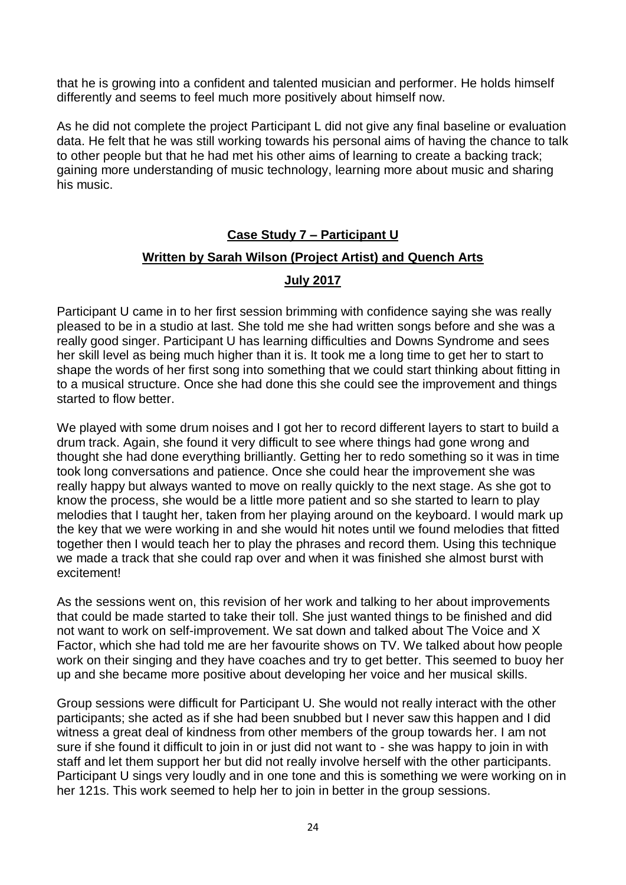that he is growing into a confident and talented musician and performer. He holds himself differently and seems to feel much more positively about himself now.

As he did not complete the project Participant L did not give any final baseline or evaluation data. He felt that he was still working towards his personal aims of having the chance to talk to other people but that he had met his other aims of learning to create a backing track; gaining more understanding of music technology, learning more about music and sharing his music.

# **Case Study 7 – Participant U Written by Sarah Wilson (Project Artist) and Quench Arts**

#### **July 2017**

Participant U came in to her first session brimming with confidence saying she was really pleased to be in a studio at last. She told me she had written songs before and she was a really good singer. Participant U has learning difficulties and Downs Syndrome and sees her skill level as being much higher than it is. It took me a long time to get her to start to shape the words of her first song into something that we could start thinking about fitting in to a musical structure. Once she had done this she could see the improvement and things started to flow better.

We played with some drum noises and I got her to record different layers to start to build a drum track. Again, she found it very difficult to see where things had gone wrong and thought she had done everything brilliantly. Getting her to redo something so it was in time took long conversations and patience. Once she could hear the improvement she was really happy but always wanted to move on really quickly to the next stage. As she got to know the process, she would be a little more patient and so she started to learn to play melodies that I taught her, taken from her playing around on the keyboard. I would mark up the key that we were working in and she would hit notes until we found melodies that fitted together then I would teach her to play the phrases and record them. Using this technique we made a track that she could rap over and when it was finished she almost burst with excitement!

As the sessions went on, this revision of her work and talking to her about improvements that could be made started to take their toll. She just wanted things to be finished and did not want to work on self-improvement. We sat down and talked about The Voice and X Factor, which she had told me are her favourite shows on TV. We talked about how people work on their singing and they have coaches and try to get better. This seemed to buoy her up and she became more positive about developing her voice and her musical skills.

Group sessions were difficult for Participant U. She would not really interact with the other participants; she acted as if she had been snubbed but I never saw this happen and I did witness a great deal of kindness from other members of the group towards her. I am not sure if she found it difficult to join in or just did not want to - she was happy to join in with staff and let them support her but did not really involve herself with the other participants. Participant U sings very loudly and in one tone and this is something we were working on in her 121s. This work seemed to help her to join in better in the group sessions.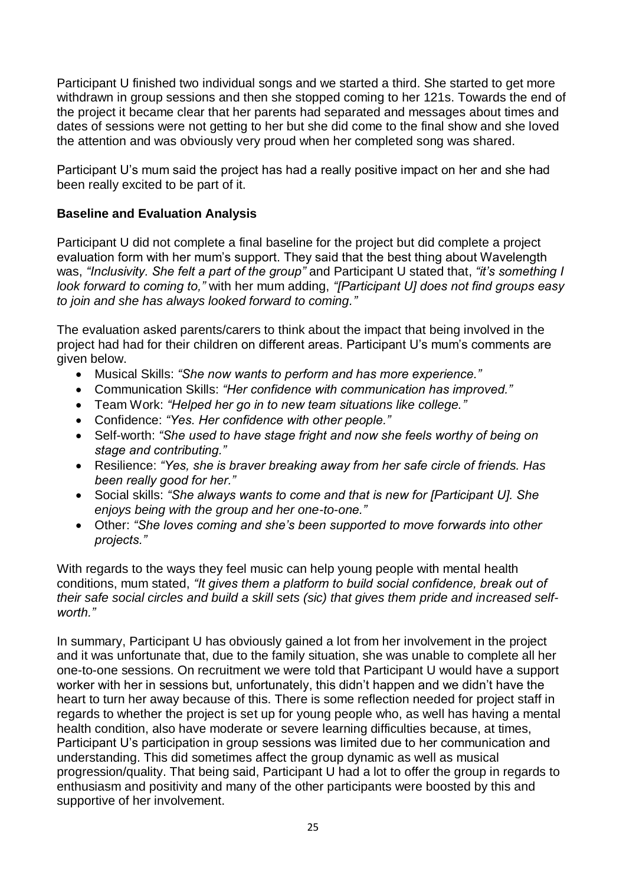Participant U finished two individual songs and we started a third. She started to get more withdrawn in group sessions and then she stopped coming to her 121s. Towards the end of the project it became clear that her parents had separated and messages about times and dates of sessions were not getting to her but she did come to the final show and she loved the attention and was obviously very proud when her completed song was shared.

Participant U's mum said the project has had a really positive impact on her and she had been really excited to be part of it.

#### **Baseline and Evaluation Analysis**

Participant U did not complete a final baseline for the project but did complete a project evaluation form with her mum's support. They said that the best thing about Wavelength was, *"Inclusivity. She felt a part of the group"* and Participant U stated that, *"it's something I look forward to coming to,"* with her mum adding, *"[Participant U] does not find groups easy to join and she has always looked forward to coming."*

The evaluation asked parents/carers to think about the impact that being involved in the project had had for their children on different areas. Participant U's mum's comments are given below.

- Musical Skills: *"She now wants to perform and has more experience."*
- Communication Skills: *"Her confidence with communication has improved."*
- Team Work: *"Helped her go in to new team situations like college."*
- Confidence: *"Yes. Her confidence with other people."*
- Self-worth: *"She used to have stage fright and now she feels worthy of being on stage and contributing."*
- Resilience: *"Yes, she is braver breaking away from her safe circle of friends. Has been really good for her."*
- Social skills: *"She always wants to come and that is new for [Participant U]. She enjoys being with the group and her one-to-one."*
- Other: *"She loves coming and she's been supported to move forwards into other projects."*

With regards to the ways they feel music can help young people with mental health conditions, mum stated, *"It gives them a platform to build social confidence, break out of their safe social circles and build a skill sets (sic) that gives them pride and increased selfworth."*

In summary, Participant U has obviously gained a lot from her involvement in the project and it was unfortunate that, due to the family situation, she was unable to complete all her one-to-one sessions. On recruitment we were told that Participant U would have a support worker with her in sessions but, unfortunately, this didn't happen and we didn't have the heart to turn her away because of this. There is some reflection needed for project staff in regards to whether the project is set up for young people who, as well has having a mental health condition, also have moderate or severe learning difficulties because, at times, Participant U's participation in group sessions was limited due to her communication and understanding. This did sometimes affect the group dynamic as well as musical progression/quality. That being said, Participant U had a lot to offer the group in regards to enthusiasm and positivity and many of the other participants were boosted by this and supportive of her involvement.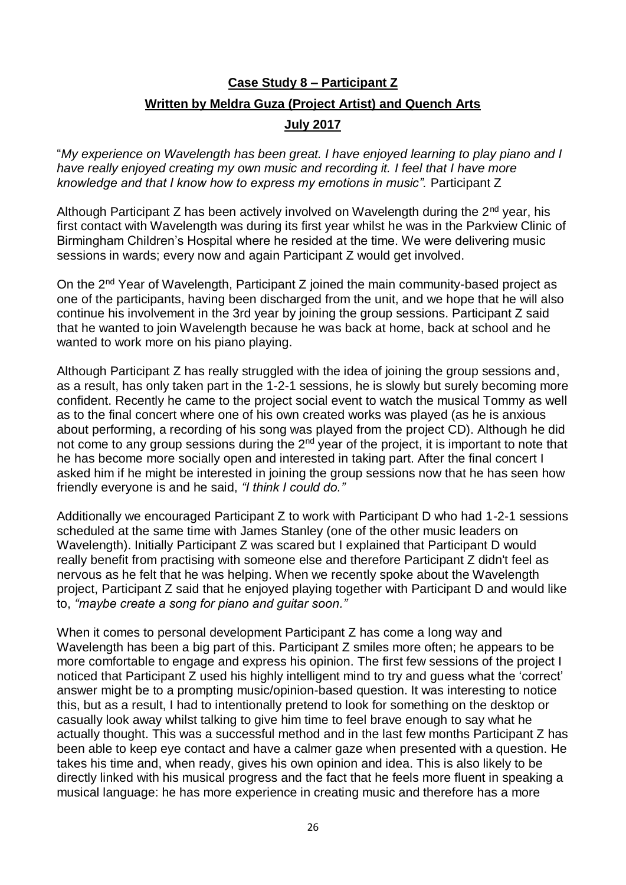## **Case Study 8 – Participant Z Written by Meldra Guza (Project Artist) and Quench Arts**

#### **July 2017**

"*My experience on Wavelength has been great. I have enjoyed learning to play piano and I have really enjoyed creating my own music and recording it. I feel that I have more knowledge and that I know how to express my emotions in music".* Participant Z

Although Participant Z has been actively involved on Wavelength during the  $2<sup>nd</sup>$  vear, his first contact with Wavelength was during its first year whilst he was in the Parkview Clinic of Birmingham Children's Hospital where he resided at the time. We were delivering music sessions in wards; every now and again Participant Z would get involved.

On the 2nd Year of Wavelength, Participant Z joined the main community-based project as one of the participants, having been discharged from the unit, and we hope that he will also continue his involvement in the 3rd year by joining the group sessions. Participant Z said that he wanted to join Wavelength because he was back at home, back at school and he wanted to work more on his piano playing.

Although Participant Z has really struggled with the idea of joining the group sessions and, as a result, has only taken part in the 1-2-1 sessions, he is slowly but surely becoming more confident. Recently he came to the project social event to watch the musical Tommy as well as to the final concert where one of his own created works was played (as he is anxious about performing, a recording of his song was played from the project CD). Although he did not come to any group sessions during the  $2<sup>nd</sup>$  year of the project, it is important to note that he has become more socially open and interested in taking part. After the final concert I asked him if he might be interested in joining the group sessions now that he has seen how friendly everyone is and he said, *"I think I could do."*

Additionally we encouraged Participant Z to work with Participant D who had 1-2-1 sessions scheduled at the same time with James Stanley (one of the other music leaders on Wavelength). Initially Participant Z was scared but I explained that Participant D would really benefit from practising with someone else and therefore Participant Z didn't feel as nervous as he felt that he was helping. When we recently spoke about the Wavelength project, Participant Z said that he enjoyed playing together with Participant D and would like to, *"maybe create a song for piano and guitar soon."*

When it comes to personal development Participant Z has come a long way and Wavelength has been a big part of this. Participant Z smiles more often; he appears to be more comfortable to engage and express his opinion. The first few sessions of the project I noticed that Participant Z used his highly intelligent mind to try and guess what the 'correct' answer might be to a prompting music/opinion-based question. It was interesting to notice this, but as a result, I had to intentionally pretend to look for something on the desktop or casually look away whilst talking to give him time to feel brave enough to say what he actually thought. This was a successful method and in the last few months Participant Z has been able to keep eye contact and have a calmer gaze when presented with a question. He takes his time and, when ready, gives his own opinion and idea. This is also likely to be directly linked with his musical progress and the fact that he feels more fluent in speaking a musical language: he has more experience in creating music and therefore has a more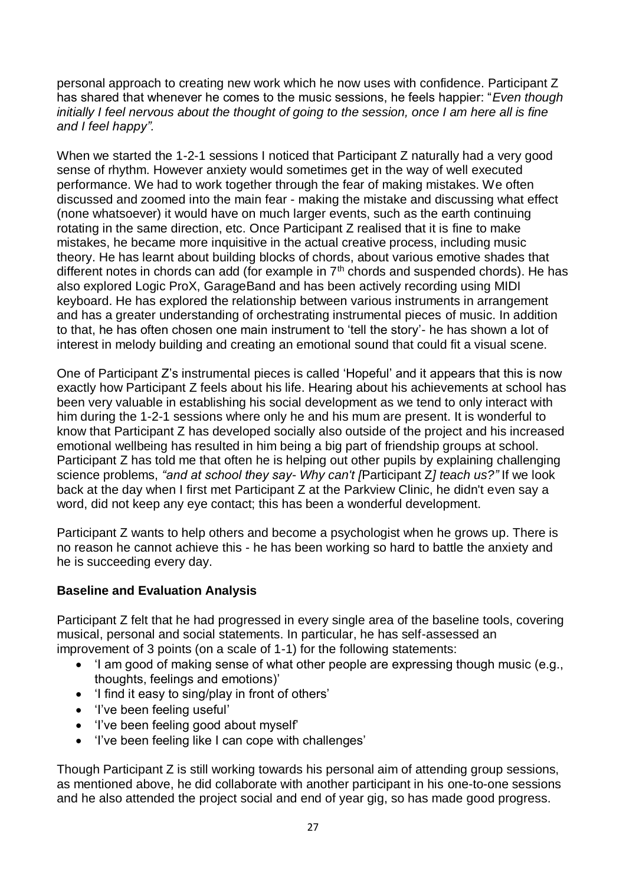personal approach to creating new work which he now uses with confidence. Participant Z has shared that whenever he comes to the music sessions, he feels happier: "*Even though initially I feel nervous about the thought of going to the session, once I am here all is fine and I feel happy".*

When we started the 1-2-1 sessions I noticed that Participant Z naturally had a very good sense of rhythm. However anxiety would sometimes get in the way of well executed performance. We had to work together through the fear of making mistakes. We often discussed and zoomed into the main fear - making the mistake and discussing what effect (none whatsoever) it would have on much larger events, such as the earth continuing rotating in the same direction, etc. Once Participant Z realised that it is fine to make mistakes, he became more inquisitive in the actual creative process, including music theory. He has learnt about building blocks of chords, about various emotive shades that different notes in chords can add (for example in 7<sup>th</sup> chords and suspended chords). He has also explored Logic ProX, GarageBand and has been actively recording using MIDI keyboard. He has explored the relationship between various instruments in arrangement and has a greater understanding of orchestrating instrumental pieces of music. In addition to that, he has often chosen one main instrument to 'tell the story'- he has shown a lot of interest in melody building and creating an emotional sound that could fit a visual scene.

One of Participant Z's instrumental pieces is called 'Hopeful' and it appears that this is now exactly how Participant Z feels about his life. Hearing about his achievements at school has been very valuable in establishing his social development as we tend to only interact with him during the 1-2-1 sessions where only he and his mum are present. It is wonderful to know that Participant Z has developed socially also outside of the project and his increased emotional wellbeing has resulted in him being a big part of friendship groups at school. Participant Z has told me that often he is helping out other pupils by explaining challenging science problems, *"and at school they say- Why can't [*Participant Z*] teach us?"* If we look back at the day when I first met Participant Z at the Parkview Clinic, he didn't even say a word, did not keep any eye contact; this has been a wonderful development.

Participant Z wants to help others and become a psychologist when he grows up. There is no reason he cannot achieve this - he has been working so hard to battle the anxiety and he is succeeding every day.

#### **Baseline and Evaluation Analysis**

Participant Z felt that he had progressed in every single area of the baseline tools, covering musical, personal and social statements. In particular, he has self-assessed an improvement of 3 points (on a scale of 1-1) for the following statements:

- 'I am good of making sense of what other people are expressing though music (e.g., thoughts, feelings and emotions)'
- 'I find it easy to sing/play in front of others'
- 'I've been feeling useful'
- 'I've been feeling good about myself'
- 'I've been feeling like I can cope with challenges'

Though Participant Z is still working towards his personal aim of attending group sessions, as mentioned above, he did collaborate with another participant in his one-to-one sessions and he also attended the project social and end of year gig, so has made good progress.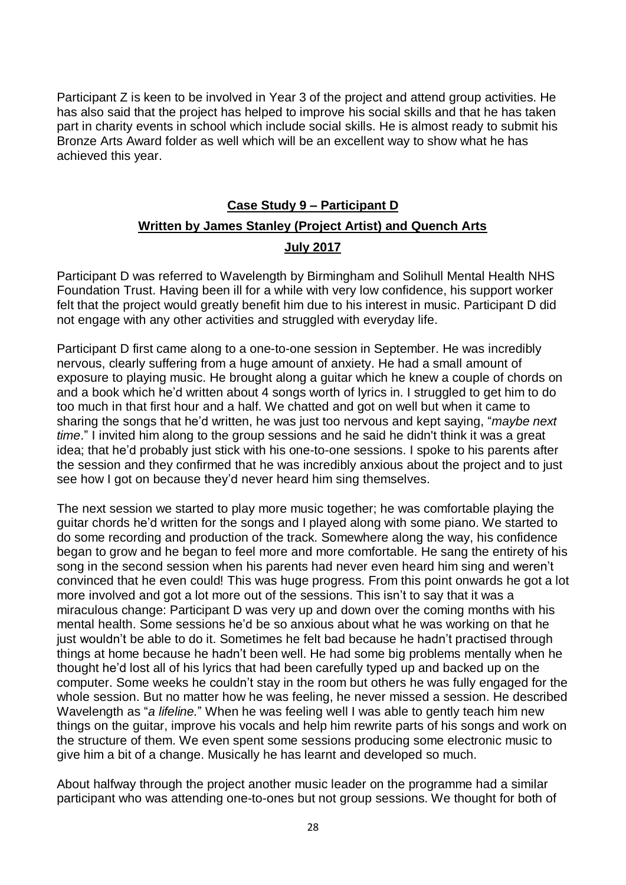Participant Z is keen to be involved in Year 3 of the project and attend group activities. He has also said that the project has helped to improve his social skills and that he has taken part in charity events in school which include social skills. He is almost ready to submit his Bronze Arts Award folder as well which will be an excellent way to show what he has achieved this year.

### **Case Study 9 – Participant D Written by James Stanley (Project Artist) and Quench Arts July 2017**

Participant D was referred to Wavelength by Birmingham and Solihull Mental Health NHS Foundation Trust. Having been ill for a while with very low confidence, his support worker felt that the project would greatly benefit him due to his interest in music. Participant D did not engage with any other activities and struggled with everyday life.

Participant D first came along to a one-to-one session in September. He was incredibly nervous, clearly suffering from a huge amount of anxiety. He had a small amount of exposure to playing music. He brought along a guitar which he knew a couple of chords on and a book which he'd written about 4 songs worth of lyrics in. I struggled to get him to do too much in that first hour and a half. We chatted and got on well but when it came to sharing the songs that he'd written, he was just too nervous and kept saying, "*maybe next time*." I invited him along to the group sessions and he said he didn't think it was a great idea; that he'd probably just stick with his one-to-one sessions. I spoke to his parents after the session and they confirmed that he was incredibly anxious about the project and to just see how I got on because they'd never heard him sing themselves.

The next session we started to play more music together; he was comfortable playing the guitar chords he'd written for the songs and I played along with some piano. We started to do some recording and production of the track. Somewhere along the way, his confidence began to grow and he began to feel more and more comfortable. He sang the entirety of his song in the second session when his parents had never even heard him sing and weren't convinced that he even could! This was huge progress. From this point onwards he got a lot more involved and got a lot more out of the sessions. This isn't to say that it was a miraculous change: Participant D was very up and down over the coming months with his mental health. Some sessions he'd be so anxious about what he was working on that he just wouldn't be able to do it. Sometimes he felt bad because he hadn't practised through things at home because he hadn't been well. He had some big problems mentally when he thought he'd lost all of his lyrics that had been carefully typed up and backed up on the computer. Some weeks he couldn't stay in the room but others he was fully engaged for the whole session. But no matter how he was feeling, he never missed a session. He described Wavelength as "*a lifeline.*" When he was feeling well I was able to gently teach him new things on the guitar, improve his vocals and help him rewrite parts of his songs and work on the structure of them. We even spent some sessions producing some electronic music to give him a bit of a change. Musically he has learnt and developed so much.

About halfway through the project another music leader on the programme had a similar participant who was attending one-to-ones but not group sessions. We thought for both of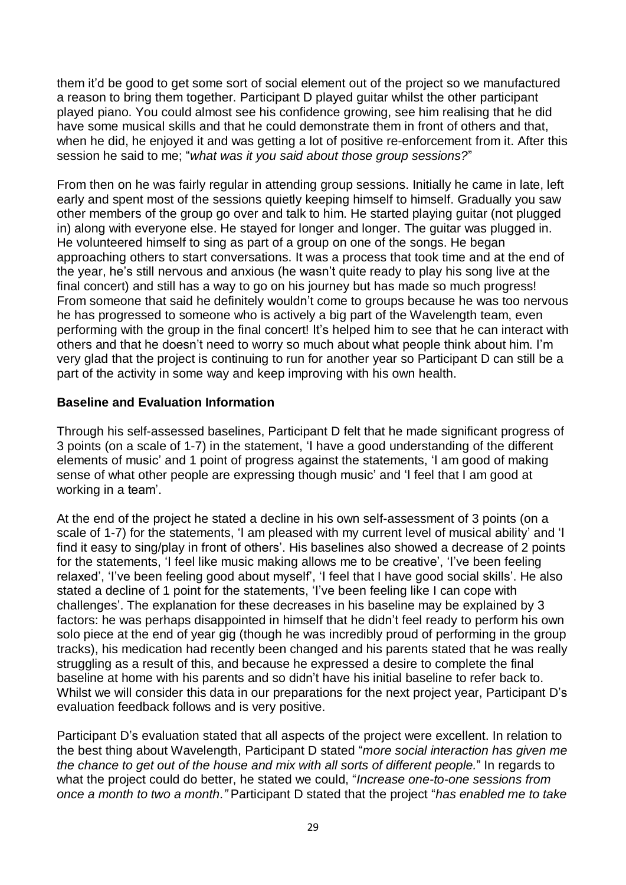them it'd be good to get some sort of social element out of the project so we manufactured a reason to bring them together. Participant D played guitar whilst the other participant played piano. You could almost see his confidence growing, see him realising that he did have some musical skills and that he could demonstrate them in front of others and that, when he did, he enjoyed it and was getting a lot of positive re-enforcement from it. After this session he said to me; "*what was it you said about those group sessions?*"

From then on he was fairly regular in attending group sessions. Initially he came in late, left early and spent most of the sessions quietly keeping himself to himself. Gradually you saw other members of the group go over and talk to him. He started playing guitar (not plugged in) along with everyone else. He stayed for longer and longer. The guitar was plugged in. He volunteered himself to sing as part of a group on one of the songs. He began approaching others to start conversations. It was a process that took time and at the end of the year, he's still nervous and anxious (he wasn't quite ready to play his song live at the final concert) and still has a way to go on his journey but has made so much progress! From someone that said he definitely wouldn't come to groups because he was too nervous he has progressed to someone who is actively a big part of the Wavelength team, even performing with the group in the final concert! It's helped him to see that he can interact with others and that he doesn't need to worry so much about what people think about him. I'm very glad that the project is continuing to run for another year so Participant D can still be a part of the activity in some way and keep improving with his own health.

#### **Baseline and Evaluation Information**

Through his self-assessed baselines, Participant D felt that he made significant progress of 3 points (on a scale of 1-7) in the statement, 'I have a good understanding of the different elements of music' and 1 point of progress against the statements, 'I am good of making sense of what other people are expressing though music' and 'I feel that I am good at working in a team'.

At the end of the project he stated a decline in his own self-assessment of 3 points (on a scale of 1-7) for the statements, 'I am pleased with my current level of musical ability' and 'I find it easy to sing/play in front of others'. His baselines also showed a decrease of 2 points for the statements, 'I feel like music making allows me to be creative', 'I've been feeling relaxed', 'I've been feeling good about myself', 'I feel that I have good social skills'. He also stated a decline of 1 point for the statements, 'I've been feeling like I can cope with challenges'. The explanation for these decreases in his baseline may be explained by 3 factors: he was perhaps disappointed in himself that he didn't feel ready to perform his own solo piece at the end of year gig (though he was incredibly proud of performing in the group tracks), his medication had recently been changed and his parents stated that he was really struggling as a result of this, and because he expressed a desire to complete the final baseline at home with his parents and so didn't have his initial baseline to refer back to. Whilst we will consider this data in our preparations for the next project year, Participant D's evaluation feedback follows and is very positive.

Participant D's evaluation stated that all aspects of the project were excellent. In relation to the best thing about Wavelength, Participant D stated "*more social interaction has given me the chance to get out of the house and mix with all sorts of different people.*" In regards to what the project could do better, he stated we could, "*Increase one-to-one sessions from once a month to two a month."* Participant D stated that the project "*has enabled me to take*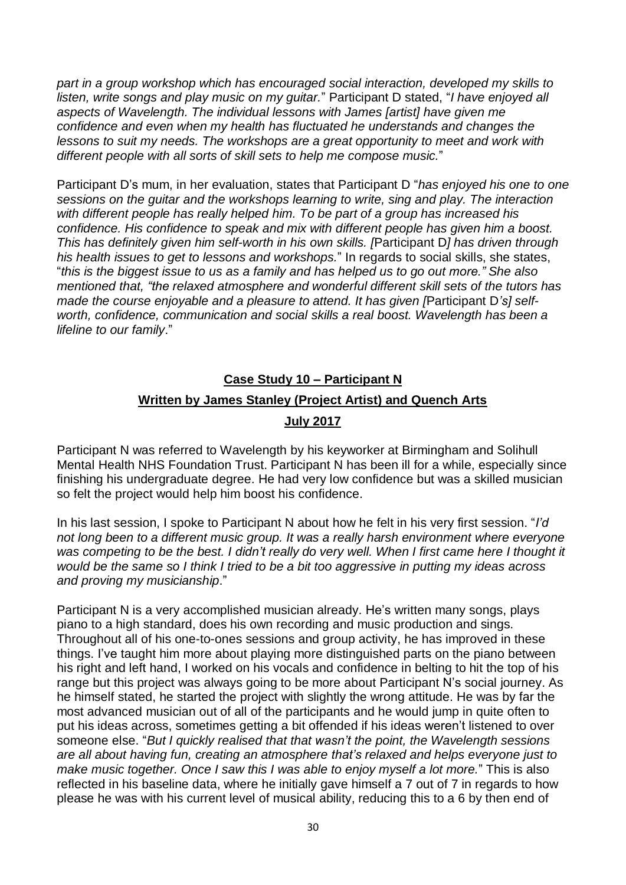*part in a group workshop which has encouraged social interaction, developed my skills to listen, write songs and play music on my guitar.*" Participant D stated, "*I have enjoyed all aspects of Wavelength. The individual lessons with James [artist] have given me confidence and even when my health has fluctuated he understands and changes the lessons to suit my needs. The workshops are a great opportunity to meet and work with different people with all sorts of skill sets to help me compose music.*"

Participant D's mum, in her evaluation, states that Participant D "*has enjoyed his one to one sessions on the guitar and the workshops learning to write, sing and play. The interaction with different people has really helped him. To be part of a group has increased his confidence. His confidence to speak and mix with different people has given him a boost. This has definitely given him self-worth in his own skills. [*Participant D*] has driven through his health issues to get to lessons and workshops.*" In regards to social skills, she states, "this is the biggest issue to us as a family and has helped us to go out more." She also *mentioned that, "the relaxed atmosphere and wonderful different skill sets of the tutors has made the course enjoyable and a pleasure to attend. It has given [*Participant D*'s] selfworth, confidence, communication and social skills a real boost. Wavelength has been a lifeline to our family*."

## **Case Study 10 – Participant N Written by James Stanley (Project Artist) and Quench Arts**

#### **July 2017**

Participant N was referred to Wavelength by his keyworker at Birmingham and Solihull Mental Health NHS Foundation Trust. Participant N has been ill for a while, especially since finishing his undergraduate degree. He had very low confidence but was a skilled musician so felt the project would help him boost his confidence.

In his last session, I spoke to Participant N about how he felt in his very first session. "*I'd not long been to a different music group. It was a really harsh environment where everyone* was competing to be the best. I didn't really do very well. When I first came here I thought it would be the same so I think I tried to be a bit too aggressive in putting my ideas across *and proving my musicianship*."

Participant N is a very accomplished musician already. He's written many songs, plays piano to a high standard, does his own recording and music production and sings. Throughout all of his one-to-ones sessions and group activity, he has improved in these things. I've taught him more about playing more distinguished parts on the piano between his right and left hand, I worked on his vocals and confidence in belting to hit the top of his range but this project was always going to be more about Participant N's social journey. As he himself stated, he started the project with slightly the wrong attitude. He was by far the most advanced musician out of all of the participants and he would jump in quite often to put his ideas across, sometimes getting a bit offended if his ideas weren't listened to over someone else. "*But I quickly realised that that wasn't the point, the Wavelength sessions are all about having fun, creating an atmosphere that's relaxed and helps everyone just to make music together. Once I saw this I was able to enjoy myself a lot more.*" This is also reflected in his baseline data, where he initially gave himself a 7 out of 7 in regards to how please he was with his current level of musical ability, reducing this to a 6 by then end of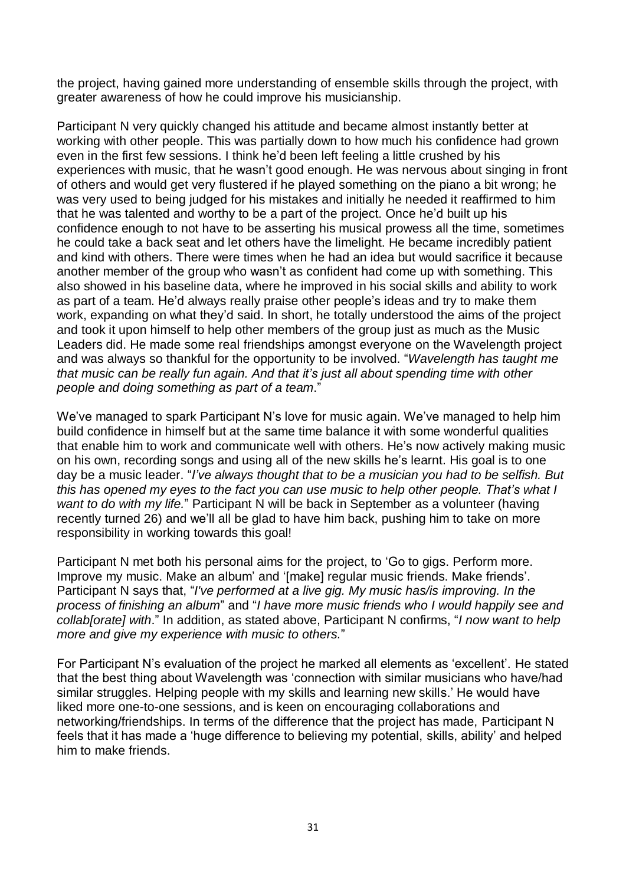the project, having gained more understanding of ensemble skills through the project, with greater awareness of how he could improve his musicianship.

Participant N very quickly changed his attitude and became almost instantly better at working with other people. This was partially down to how much his confidence had grown even in the first few sessions. I think he'd been left feeling a little crushed by his experiences with music, that he wasn't good enough. He was nervous about singing in front of others and would get very flustered if he played something on the piano a bit wrong; he was very used to being judged for his mistakes and initially he needed it reaffirmed to him that he was talented and worthy to be a part of the project. Once he'd built up his confidence enough to not have to be asserting his musical prowess all the time, sometimes he could take a back seat and let others have the limelight. He became incredibly patient and kind with others. There were times when he had an idea but would sacrifice it because another member of the group who wasn't as confident had come up with something. This also showed in his baseline data, where he improved in his social skills and ability to work as part of a team. He'd always really praise other people's ideas and try to make them work, expanding on what they'd said. In short, he totally understood the aims of the project and took it upon himself to help other members of the group just as much as the Music Leaders did. He made some real friendships amongst everyone on the Wavelength project and was always so thankful for the opportunity to be involved. "*Wavelength has taught me that music can be really fun again. And that it's just all about spending time with other people and doing something as part of a team*."

We've managed to spark Participant N's love for music again. We've managed to help him build confidence in himself but at the same time balance it with some wonderful qualities that enable him to work and communicate well with others. He's now actively making music on his own, recording songs and using all of the new skills he's learnt. His goal is to one day be a music leader. "*I've always thought that to be a musician you had to be selfish. But this has opened my eyes to the fact you can use music to help other people. That's what I want to do with my life.*" Participant N will be back in September as a volunteer (having recently turned 26) and we'll all be glad to have him back, pushing him to take on more responsibility in working towards this goal!

Participant N met both his personal aims for the project, to 'Go to gigs. Perform more. Improve my music. Make an album' and '[make] regular music friends. Make friends'. Participant N says that, "*I've performed at a live gig. My music has/is improving. In the process of finishing an album*" and "*I have more music friends who I would happily see and collab[orate] with*." In addition, as stated above, Participant N confirms, "*I now want to help more and give my experience with music to others.*"

For Participant N's evaluation of the project he marked all elements as 'excellent'. He stated that the best thing about Wavelength was 'connection with similar musicians who have/had similar struggles. Helping people with my skills and learning new skills.' He would have liked more one-to-one sessions, and is keen on encouraging collaborations and networking/friendships. In terms of the difference that the project has made, Participant N feels that it has made a 'huge difference to believing my potential, skills, ability' and helped him to make friends.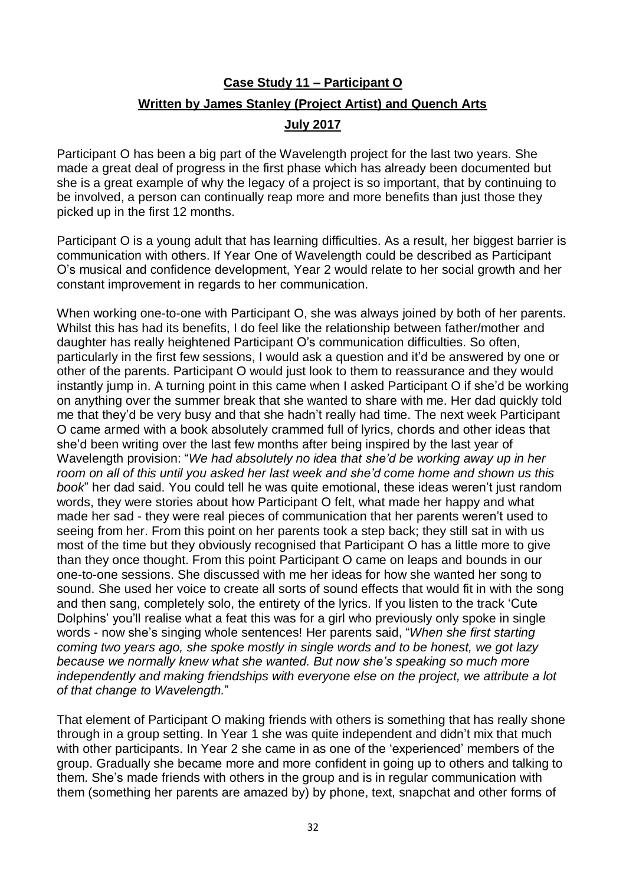## **Case Study 11 – Participant O Written by James Stanley (Project Artist) and Quench Arts**

#### **July 2017**

Participant O has been a big part of the Wavelength project for the last two years. She made a great deal of progress in the first phase which has already been documented but she is a great example of why the legacy of a project is so important, that by continuing to be involved, a person can continually reap more and more benefits than just those they picked up in the first 12 months.

Participant O is a young adult that has learning difficulties. As a result, her biggest barrier is communication with others. If Year One of Wavelength could be described as Participant O's musical and confidence development, Year 2 would relate to her social growth and her constant improvement in regards to her communication.

When working one-to-one with Participant O, she was always joined by both of her parents. Whilst this has had its benefits, I do feel like the relationship between father/mother and daughter has really heightened Participant O's communication difficulties. So often, particularly in the first few sessions, I would ask a question and it'd be answered by one or other of the parents. Participant O would just look to them to reassurance and they would instantly jump in. A turning point in this came when I asked Participant O if she'd be working on anything over the summer break that she wanted to share with me. Her dad quickly told me that they'd be very busy and that she hadn't really had time. The next week Participant O came armed with a book absolutely crammed full of lyrics, chords and other ideas that she'd been writing over the last few months after being inspired by the last year of Wavelength provision: "*We had absolutely no idea that she'd be working away up in her room on all of this until you asked her last week and she'd come home and shown us this book*" her dad said. You could tell he was quite emotional, these ideas weren't just random words, they were stories about how Participant O felt, what made her happy and what made her sad - they were real pieces of communication that her parents weren't used to seeing from her. From this point on her parents took a step back; they still sat in with us most of the time but they obviously recognised that Participant O has a little more to give than they once thought. From this point Participant O came on leaps and bounds in our one-to-one sessions. She discussed with me her ideas for how she wanted her song to sound. She used her voice to create all sorts of sound effects that would fit in with the song and then sang, completely solo, the entirety of the lyrics. If you listen to the track 'Cute Dolphins' you'll realise what a feat this was for a girl who previously only spoke in single words - now she's singing whole sentences! Her parents said, "*When she first starting coming two years ago, she spoke mostly in single words and to be honest, we got lazy because we normally knew what she wanted. But now she's speaking so much more independently and making friendships with everyone else on the project, we attribute a lot of that change to Wavelength.*"

That element of Participant O making friends with others is something that has really shone through in a group setting. In Year 1 she was quite independent and didn't mix that much with other participants. In Year 2 she came in as one of the 'experienced' members of the group. Gradually she became more and more confident in going up to others and talking to them. She's made friends with others in the group and is in regular communication with them (something her parents are amazed by) by phone, text, snapchat and other forms of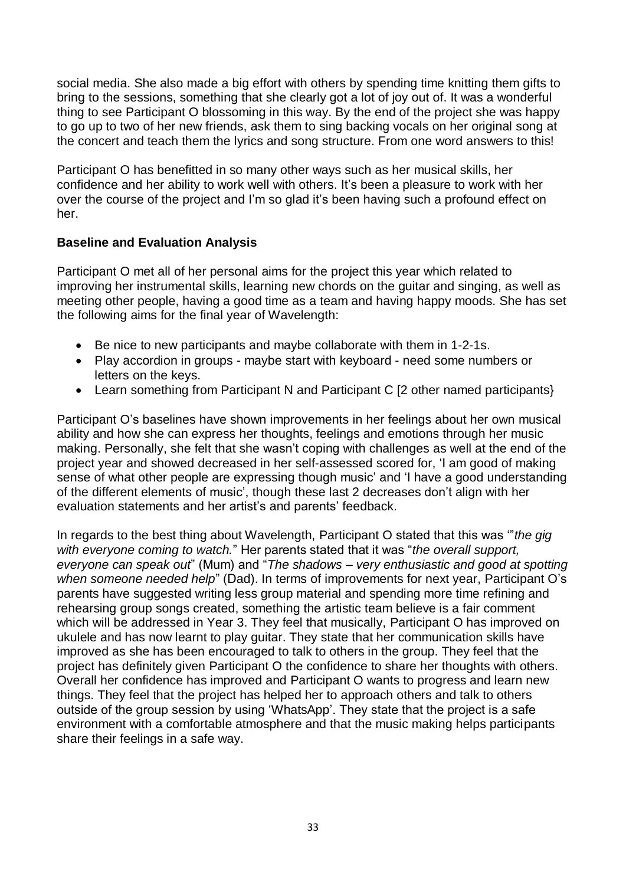social media. She also made a big effort with others by spending time knitting them gifts to bring to the sessions, something that she clearly got a lot of joy out of. It was a wonderful thing to see Participant O blossoming in this way. By the end of the project she was happy to go up to two of her new friends, ask them to sing backing vocals on her original song at the concert and teach them the lyrics and song structure. From one word answers to this!

Participant O has benefitted in so many other ways such as her musical skills, her confidence and her ability to work well with others. It's been a pleasure to work with her over the course of the project and I'm so glad it's been having such a profound effect on her.

#### **Baseline and Evaluation Analysis**

Participant O met all of her personal aims for the project this year which related to improving her instrumental skills, learning new chords on the guitar and singing, as well as meeting other people, having a good time as a team and having happy moods. She has set the following aims for the final year of Wavelength:

- Be nice to new participants and maybe collaborate with them in 1-2-1s.
- Play accordion in groups maybe start with keyboard need some numbers or letters on the keys.
- Learn something from Participant N and Participant C [2 other named participants}

Participant O's baselines have shown improvements in her feelings about her own musical ability and how she can express her thoughts, feelings and emotions through her music making. Personally, she felt that she wasn't coping with challenges as well at the end of the project year and showed decreased in her self-assessed scored for, 'I am good of making sense of what other people are expressing though music' and 'I have a good understanding of the different elements of music', though these last 2 decreases don't align with her evaluation statements and her artist's and parents' feedback.

In regards to the best thing about Wavelength, Participant O stated that this was '"*the gig with everyone coming to watch.*" Her parents stated that it was "*the overall support, everyone can speak out*" (Mum) and "*The shadows – very enthusiastic and good at spotting when someone needed help*" (Dad). In terms of improvements for next year, Participant O's parents have suggested writing less group material and spending more time refining and rehearsing group songs created, something the artistic team believe is a fair comment which will be addressed in Year 3. They feel that musically, Participant O has improved on ukulele and has now learnt to play guitar. They state that her communication skills have improved as she has been encouraged to talk to others in the group. They feel that the project has definitely given Participant O the confidence to share her thoughts with others. Overall her confidence has improved and Participant O wants to progress and learn new things. They feel that the project has helped her to approach others and talk to others outside of the group session by using 'WhatsApp'. They state that the project is a safe environment with a comfortable atmosphere and that the music making helps participants share their feelings in a safe way.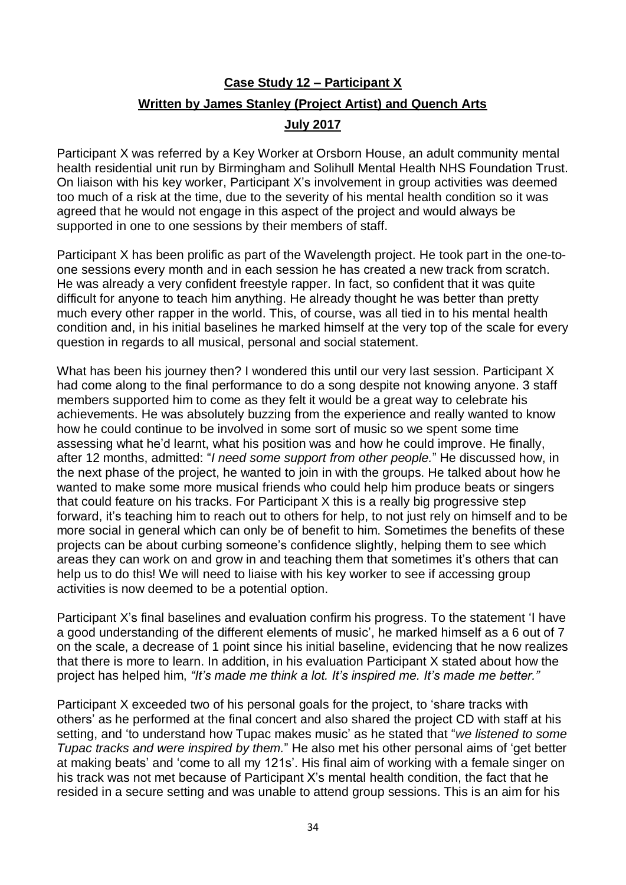## **Case Study 12 – Participant X Written by James Stanley (Project Artist) and Quench Arts**

#### **July 2017**

Participant X was referred by a Key Worker at Orsborn House, an adult community mental health residential unit run by Birmingham and Solihull Mental Health NHS Foundation Trust. On liaison with his key worker, Participant X's involvement in group activities was deemed too much of a risk at the time, due to the severity of his mental health condition so it was agreed that he would not engage in this aspect of the project and would always be supported in one to one sessions by their members of staff.

Participant X has been prolific as part of the Wavelength project. He took part in the one-toone sessions every month and in each session he has created a new track from scratch. He was already a very confident freestyle rapper. In fact, so confident that it was quite difficult for anyone to teach him anything. He already thought he was better than pretty much every other rapper in the world. This, of course, was all tied in to his mental health condition and, in his initial baselines he marked himself at the very top of the scale for every question in regards to all musical, personal and social statement.

What has been his journey then? I wondered this until our very last session. Participant X had come along to the final performance to do a song despite not knowing anyone. 3 staff members supported him to come as they felt it would be a great way to celebrate his achievements. He was absolutely buzzing from the experience and really wanted to know how he could continue to be involved in some sort of music so we spent some time assessing what he'd learnt, what his position was and how he could improve. He finally, after 12 months, admitted: "*I need some support from other people.*" He discussed how, in the next phase of the project, he wanted to join in with the groups. He talked about how he wanted to make some more musical friends who could help him produce beats or singers that could feature on his tracks. For Participant X this is a really big progressive step forward, it's teaching him to reach out to others for help, to not just rely on himself and to be more social in general which can only be of benefit to him. Sometimes the benefits of these projects can be about curbing someone's confidence slightly, helping them to see which areas they can work on and grow in and teaching them that sometimes it's others that can help us to do this! We will need to liaise with his key worker to see if accessing group activities is now deemed to be a potential option.

Participant X's final baselines and evaluation confirm his progress. To the statement 'I have a good understanding of the different elements of music', he marked himself as a 6 out of 7 on the scale, a decrease of 1 point since his initial baseline, evidencing that he now realizes that there is more to learn. In addition, in his evaluation Participant X stated about how the project has helped him, *"It's made me think a lot. It's inspired me. It's made me better."*

Participant X exceeded two of his personal goals for the project, to 'share tracks with others' as he performed at the final concert and also shared the project CD with staff at his setting, and 'to understand how Tupac makes music' as he stated that "*we listened to some Tupac tracks and were inspired by them.*" He also met his other personal aims of 'get better at making beats' and 'come to all my 121s'. His final aim of working with a female singer on his track was not met because of Participant X's mental health condition, the fact that he resided in a secure setting and was unable to attend group sessions. This is an aim for his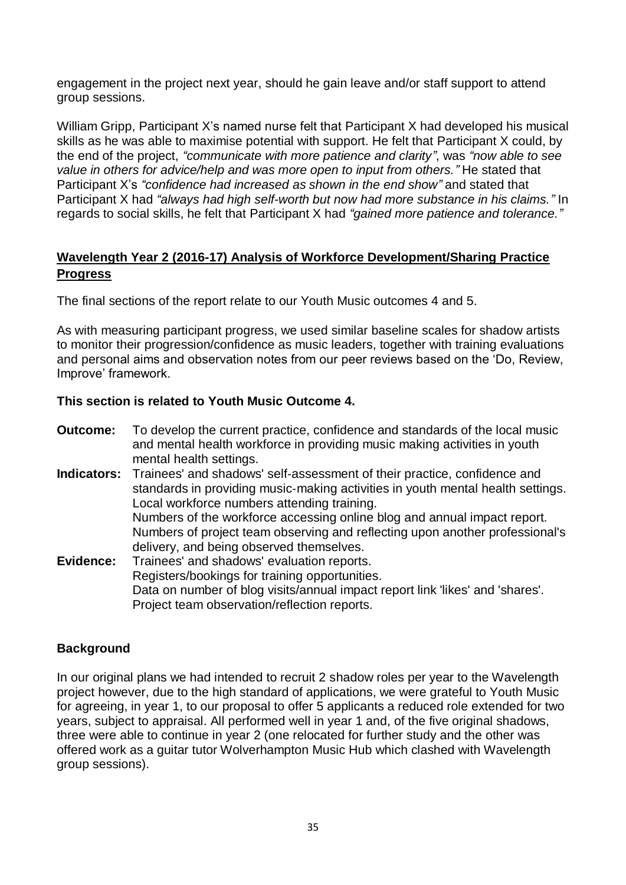engagement in the project next year, should he gain leave and/or staff support to attend group sessions.

William Gripp, Participant X's named nurse felt that Participant X had developed his musical skills as he was able to maximise potential with support. He felt that Participant X could, by the end of the project, *"communicate with more patience and clarity"*, was *"now able to see value in others for advice/help and was more open to input from others."* He stated that Participant X's *"confidence had increased as shown in the end show"* and stated that Participant X had *"always had high self-worth but now had more substance in his claims."* In regards to social skills, he felt that Participant X had *"gained more patience and tolerance."*

#### **Wavelength Year 2 (2016-17) Analysis of Workforce Development/Sharing Practice Progress**

The final sections of the report relate to our Youth Music outcomes 4 and 5.

As with measuring participant progress, we used similar baseline scales for shadow artists to monitor their progression/confidence as music leaders, together with training evaluations and personal aims and observation notes from our peer reviews based on the 'Do, Review, Improve' framework.

#### **This section is related to Youth Music Outcome 4.**

- **Outcome:** To develop the current practice, confidence and standards of the local music and mental health workforce in providing music making activities in youth mental health settings.
- **Indicators:** Trainees' and shadows' self‐assessment of their practice, confidence and standards in providing music‐making activities in youth mental health settings. Local workforce numbers attending training. Numbers of the workforce accessing online blog and annual impact report. Numbers of project team observing and reflecting upon another professional's delivery, and being observed themselves.
- **Evidence:** Trainees' and shadows' evaluation reports. Registers/bookings for training opportunities. Data on number of blog visits/annual impact report link 'likes' and 'shares'. Project team observation/reflection reports.

#### **Background**

In our original plans we had intended to recruit 2 shadow roles per year to the Wavelength project however, due to the high standard of applications, we were grateful to Youth Music for agreeing, in year 1, to our proposal to offer 5 applicants a reduced role extended for two years, subject to appraisal. All performed well in year 1 and, of the five original shadows, three were able to continue in year 2 (one relocated for further study and the other was offered work as a guitar tutor Wolverhampton Music Hub which clashed with Wavelength group sessions).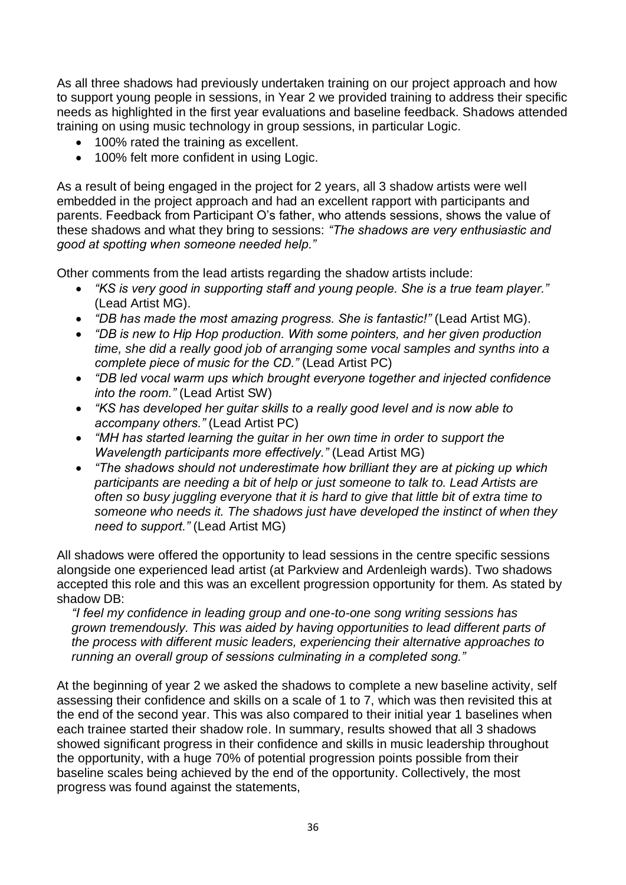As all three shadows had previously undertaken training on our project approach and how to support young people in sessions, in Year 2 we provided training to address their specific needs as highlighted in the first year evaluations and baseline feedback. Shadows attended training on using music technology in group sessions, in particular Logic.

- 100% rated the training as excellent.
- 100% felt more confident in using Logic.

As a result of being engaged in the project for 2 years, all 3 shadow artists were well embedded in the project approach and had an excellent rapport with participants and parents. Feedback from Participant O's father, who attends sessions, shows the value of these shadows and what they bring to sessions: *"The shadows are very enthusiastic and good at spotting when someone needed help."*

Other comments from the lead artists regarding the shadow artists include:

- *"KS is very good in supporting staff and young people. She is a true team player."* (Lead Artist MG).
- *"DB has made the most amazing progress. She is fantastic!"* (Lead Artist MG).
- *"DB is new to Hip Hop production. With some pointers, and her given production time, she did a really good job of arranging some vocal samples and synths into a complete piece of music for the CD."* (Lead Artist PC)
- *"DB led vocal warm ups which brought everyone together and injected confidence into the room."* (Lead Artist SW)
- *"KS has developed her guitar skills to a really good level and is now able to accompany others."* (Lead Artist PC)
- *"MH has started learning the guitar in her own time in order to support the Wavelength participants more effectively."* (Lead Artist MG)
- *"The shadows should not underestimate how brilliant they are at picking up which participants are needing a bit of help or just someone to talk to. Lead Artists are often so busy juggling everyone that it is hard to give that little bit of extra time to someone who needs it. The shadows just have developed the instinct of when they need to support."* (Lead Artist MG)

All shadows were offered the opportunity to lead sessions in the centre specific sessions alongside one experienced lead artist (at Parkview and Ardenleigh wards). Two shadows accepted this role and this was an excellent progression opportunity for them. As stated by shadow DB:

*"I feel my confidence in leading group and one-to-one song writing sessions has grown tremendously. This was aided by having opportunities to lead different parts of the process with different music leaders, experiencing their alternative approaches to running an overall group of sessions culminating in a completed song."*

At the beginning of year 2 we asked the shadows to complete a new baseline activity, self assessing their confidence and skills on a scale of 1 to 7, which was then revisited this at the end of the second year. This was also compared to their initial year 1 baselines when each trainee started their shadow role. In summary, results showed that all 3 shadows showed significant progress in their confidence and skills in music leadership throughout the opportunity, with a huge 70% of potential progression points possible from their baseline scales being achieved by the end of the opportunity. Collectively, the most progress was found against the statements,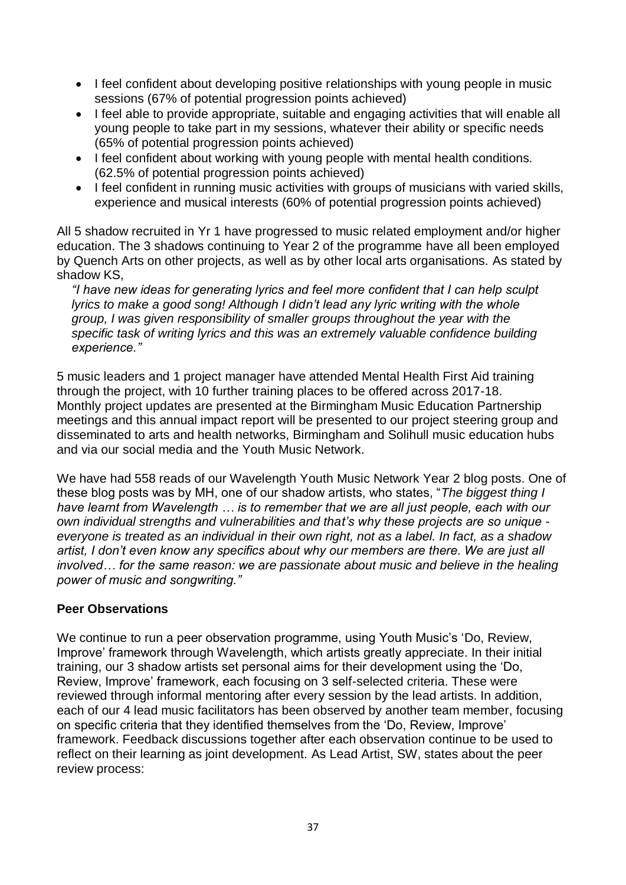- I feel confident about developing positive relationships with young people in music sessions (67% of potential progression points achieved)
- I feel able to provide appropriate, suitable and engaging activities that will enable all young people to take part in my sessions, whatever their ability or specific needs (65% of potential progression points achieved)
- I feel confident about working with young people with mental health conditions. (62.5% of potential progression points achieved)
- I feel confident in running music activities with groups of musicians with varied skills, experience and musical interests (60% of potential progression points achieved)

All 5 shadow recruited in Yr 1 have progressed to music related employment and/or higher education. The 3 shadows continuing to Year 2 of the programme have all been employed by Quench Arts on other projects, as well as by other local arts organisations. As stated by shadow KS,

*"I have new ideas for generating lyrics and feel more confident that I can help sculpt lyrics to make a good song! Although I didn't lead any lyric writing with the whole group, I was given responsibility of smaller groups throughout the year with the specific task of writing lyrics and this was an extremely valuable confidence building experience."*

5 music leaders and 1 project manager have attended Mental Health First Aid training through the project, with 10 further training places to be offered across 2017-18. Monthly project updates are presented at the Birmingham Music Education Partnership meetings and this annual impact report will be presented to our project steering group and disseminated to arts and health networks, Birmingham and Solihull music education hubs and via our social media and the Youth Music Network.

We have had 558 reads of our Wavelength Youth Music Network Year 2 blog posts. One of these blog posts was by MH, one of our shadow artists, who states, "*The biggest thing I have learnt from Wavelength … is to remember that we are all just people, each with our own individual strengths and vulnerabilities and that's why these projects are so unique everyone is treated as an individual in their own right, not as a label. In fact, as a shadow artist, I don't even know any specifics about why our members are there. We are just all involved… for the same reason: we are passionate about music and believe in the healing power of music and songwriting."*

#### **Peer Observations**

We continue to run a peer observation programme, using Youth Music's 'Do, Review, Improve' framework through Wavelength, which artists greatly appreciate. In their initial training, our 3 shadow artists set personal aims for their development using the 'Do, Review, Improve' framework, each focusing on 3 self-selected criteria. These were reviewed through informal mentoring after every session by the lead artists. In addition, each of our 4 lead music facilitators has been observed by another team member, focusing on specific criteria that they identified themselves from the 'Do, Review, Improve' framework. Feedback discussions together after each observation continue to be used to reflect on their learning as joint development. As Lead Artist, SW, states about the peer review process: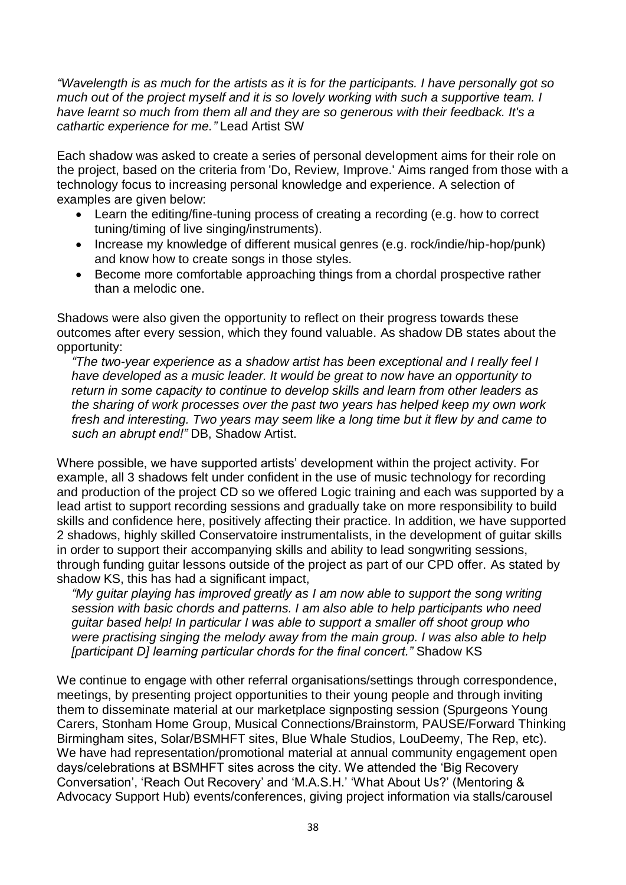*"Wavelength is as much for the artists as it is for the participants. I have personally got so much out of the project myself and it is so lovely working with such a supportive team. I have learnt so much from them all and they are so generous with their feedback. It's a cathartic experience for me."* Lead Artist SW

Each shadow was asked to create a series of personal development aims for their role on the project, based on the criteria from 'Do, Review, Improve.' Aims ranged from those with a technology focus to increasing personal knowledge and experience. A selection of examples are given below:

- Learn the editing/fine-tuning process of creating a recording (e.g. how to correct tuning/timing of live singing/instruments).
- Increase my knowledge of different musical genres (e.g. rock/indie/hip-hop/punk) and know how to create songs in those styles.
- Become more comfortable approaching things from a chordal prospective rather than a melodic one.

Shadows were also given the opportunity to reflect on their progress towards these outcomes after every session, which they found valuable. As shadow DB states about the opportunity:

*"The two-year experience as a shadow artist has been exceptional and I really feel I have developed as a music leader. It would be great to now have an opportunity to return in some capacity to continue to develop skills and learn from other leaders as the sharing of work processes over the past two years has helped keep my own work fresh and interesting. Two years may seem like a long time but it flew by and came to such an abrupt end!"* DB, Shadow Artist.

Where possible, we have supported artists' development within the project activity. For example, all 3 shadows felt under confident in the use of music technology for recording and production of the project CD so we offered Logic training and each was supported by a lead artist to support recording sessions and gradually take on more responsibility to build skills and confidence here, positively affecting their practice. In addition, we have supported 2 shadows, highly skilled Conservatoire instrumentalists, in the development of guitar skills in order to support their accompanying skills and ability to lead songwriting sessions, through funding guitar lessons outside of the project as part of our CPD offer. As stated by shadow KS, this has had a significant impact,

*"My guitar playing has improved greatly as I am now able to support the song writing session with basic chords and patterns. I am also able to help participants who need guitar based help! In particular I was able to support a smaller off shoot group who were practising singing the melody away from the main group. I was also able to help [participant D] learning particular chords for the final concert."* Shadow KS

We continue to engage with other referral organisations/settings through correspondence, meetings, by presenting project opportunities to their young people and through inviting them to disseminate material at our marketplace signposting session (Spurgeons Young Carers, Stonham Home Group, Musical Connections/Brainstorm, PAUSE/Forward Thinking Birmingham sites, Solar/BSMHFT sites, Blue Whale Studios, LouDeemy, The Rep, etc). We have had representation/promotional material at annual community engagement open days/celebrations at BSMHFT sites across the city. We attended the 'Big Recovery Conversation', 'Reach Out Recovery' and 'M.A.S.H.' 'What About Us?' (Mentoring & Advocacy Support Hub) events/conferences, giving project information via stalls/carousel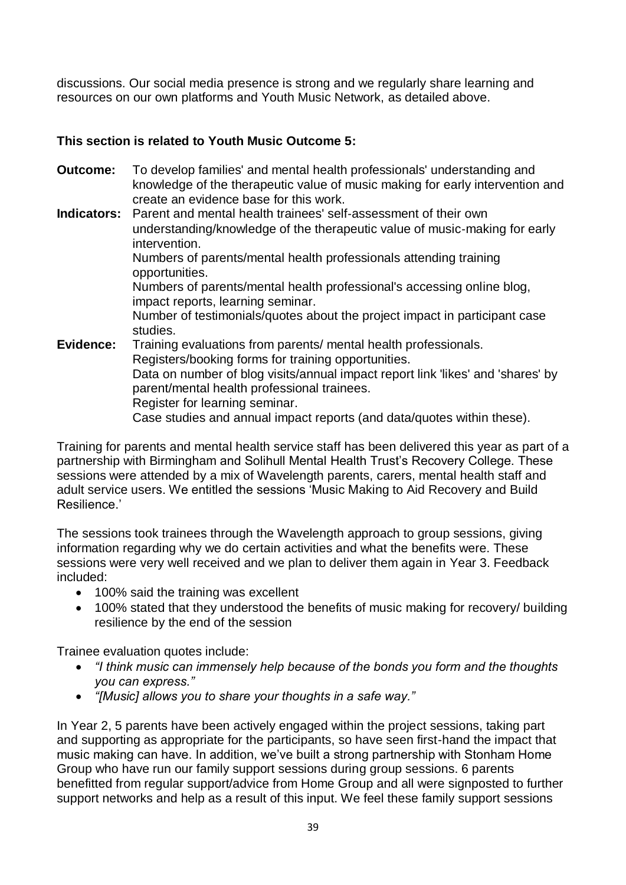discussions. Our social media presence is strong and we regularly share learning and resources on our own platforms and Youth Music Network, as detailed above.

#### **This section is related to Youth Music Outcome 5:**

- **Outcome:** To develop families' and mental health professionals' understanding and knowledge of the therapeutic value of music making for early intervention and create an evidence base for this work.
- **Indicators:** Parent and mental health trainees' self-assessment of their own understanding/knowledge of the therapeutic value of music‐making for early intervention. Numbers of parents/mental health professionals attending training opportunities. Numbers of parents/mental health professional's accessing online blog, impact reports, learning seminar. Number of testimonials/quotes about the project impact in participant case studies. **Evidence:** Training evaluations from parents/ mental health professionals. Registers/booking forms for training opportunities. Data on number of blog visits/annual impact report link 'likes' and 'shares' by parent/mental health professional trainees.

Register for learning seminar.

Case studies and annual impact reports (and data/quotes within these).

Training for parents and mental health service staff has been delivered this year as part of a partnership with Birmingham and Solihull Mental Health Trust's Recovery College. These sessions were attended by a mix of Wavelength parents, carers, mental health staff and adult service users. We entitled the sessions 'Music Making to Aid Recovery and Build Resilience.'

The sessions took trainees through the Wavelength approach to group sessions, giving information regarding why we do certain activities and what the benefits were. These sessions were very well received and we plan to deliver them again in Year 3. Feedback included:

- 100% said the training was excellent
- 100% stated that they understood the benefits of music making for recovery/ building resilience by the end of the session

Trainee evaluation quotes include:

- *"I think music can immensely help because of the bonds you form and the thoughts you can express."*
- *"[Music] allows you to share your thoughts in a safe way."*

In Year 2, 5 parents have been actively engaged within the project sessions, taking part and supporting as appropriate for the participants, so have seen first-hand the impact that music making can have. In addition, we've built a strong partnership with Stonham Home Group who have run our family support sessions during group sessions. 6 parents benefitted from regular support/advice from Home Group and all were signposted to further support networks and help as a result of this input. We feel these family support sessions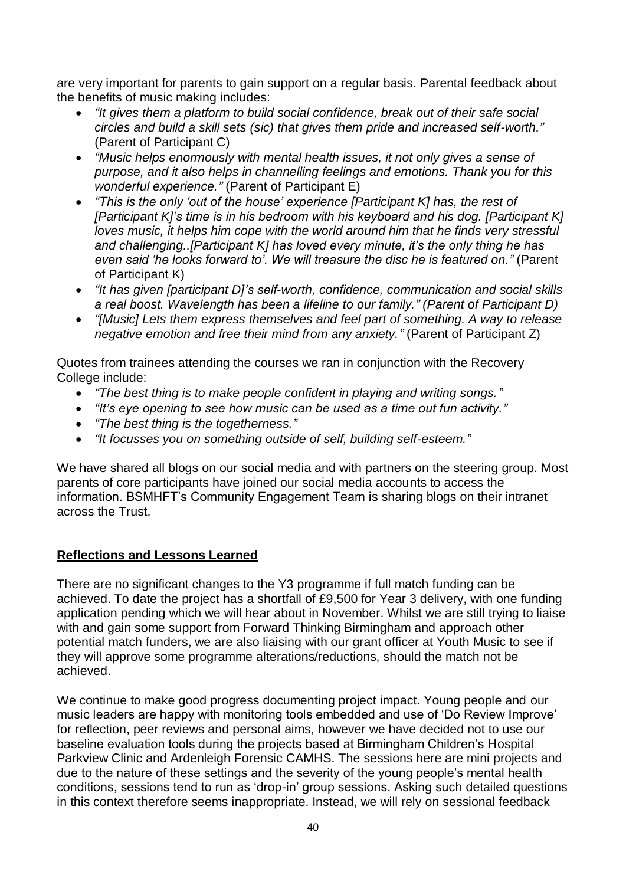are very important for parents to gain support on a regular basis. Parental feedback about the benefits of music making includes:

- *"It gives them a platform to build social confidence, break out of their safe social circles and build a skill sets (sic) that gives them pride and increased self-worth."* (Parent of Participant C)
- *"Music helps enormously with mental health issues, it not only gives a sense of purpose, and it also helps in channelling feelings and emotions. Thank you for this wonderful experience."* (Parent of Participant E)
- *"This is the only 'out of the house' experience [Participant K] has, the rest of [Participant K]'s time is in his bedroom with his keyboard and his dog. [Participant K] loves music, it helps him cope with the world around him that he finds very stressful and challenging..[Participant K] has loved every minute, it's the only thing he has even said 'he looks forward to'. We will treasure the disc he is featured on."* (Parent of Participant K)
- *"It has given [participant D]'s self-worth, confidence, communication and social skills a real boost. Wavelength has been a lifeline to our family." (Parent of Participant D)*
- *"[Music] Lets them express themselves and feel part of something. A way to release negative emotion and free their mind from any anxiety."* (Parent of Participant Z)

Quotes from trainees attending the courses we ran in conjunction with the Recovery College include:

- *"The best thing is to make people confident in playing and writing songs."*
- *"It's eye opening to see how music can be used as a time out fun activity."*
- *"The best thing is the togetherness."*
- *"It focusses you on something outside of self, building self-esteem."*

We have shared all blogs on our social media and with partners on the steering group. Most parents of core participants have joined our social media accounts to access the information. BSMHFT's Community Engagement Team is sharing blogs on their intranet across the Trust.

#### **Reflections and Lessons Learned**

There are no significant changes to the Y3 programme if full match funding can be achieved. To date the project has a shortfall of £9,500 for Year 3 delivery, with one funding application pending which we will hear about in November. Whilst we are still trying to liaise with and gain some support from Forward Thinking Birmingham and approach other potential match funders, we are also liaising with our grant officer at Youth Music to see if they will approve some programme alterations/reductions, should the match not be achieved.

We continue to make good progress documenting project impact. Young people and our music leaders are happy with monitoring tools embedded and use of 'Do Review Improve' for reflection, peer reviews and personal aims, however we have decided not to use our baseline evaluation tools during the projects based at Birmingham Children's Hospital Parkview Clinic and Ardenleigh Forensic CAMHS. The sessions here are mini projects and due to the nature of these settings and the severity of the young people's mental health conditions, sessions tend to run as 'drop-in' group sessions. Asking such detailed questions in this context therefore seems inappropriate. Instead, we will rely on sessional feedback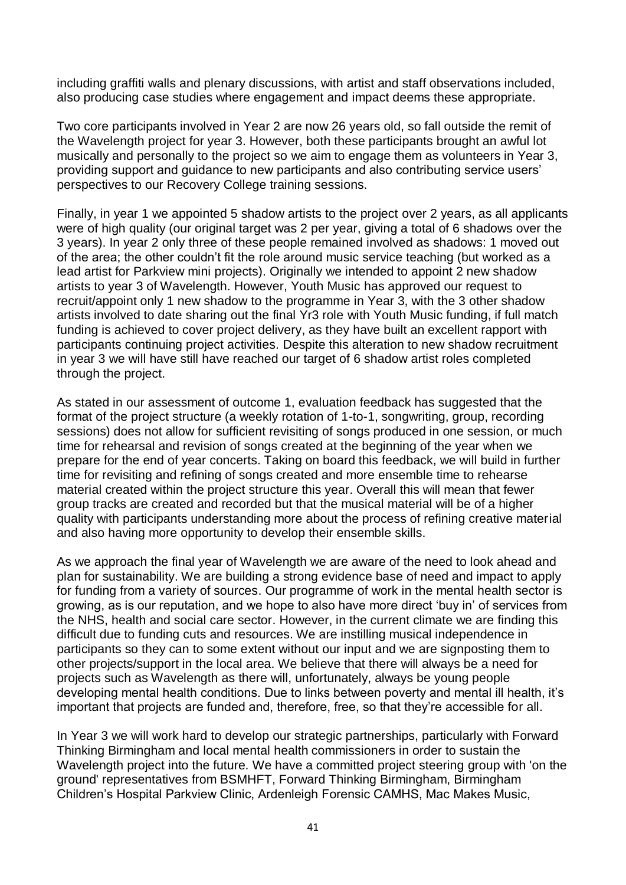including graffiti walls and plenary discussions, with artist and staff observations included, also producing case studies where engagement and impact deems these appropriate.

Two core participants involved in Year 2 are now 26 years old, so fall outside the remit of the Wavelength project for year 3. However, both these participants brought an awful lot musically and personally to the project so we aim to engage them as volunteers in Year 3, providing support and guidance to new participants and also contributing service users' perspectives to our Recovery College training sessions.

Finally, in year 1 we appointed 5 shadow artists to the project over 2 years, as all applicants were of high quality (our original target was 2 per year, giving a total of 6 shadows over the 3 years). In year 2 only three of these people remained involved as shadows: 1 moved out of the area; the other couldn't fit the role around music service teaching (but worked as a lead artist for Parkview mini projects). Originally we intended to appoint 2 new shadow artists to year 3 of Wavelength. However, Youth Music has approved our request to recruit/appoint only 1 new shadow to the programme in Year 3, with the 3 other shadow artists involved to date sharing out the final Yr3 role with Youth Music funding, if full match funding is achieved to cover project delivery, as they have built an excellent rapport with participants continuing project activities. Despite this alteration to new shadow recruitment in year 3 we will have still have reached our target of 6 shadow artist roles completed through the project.

As stated in our assessment of outcome 1, evaluation feedback has suggested that the format of the project structure (a weekly rotation of 1-to-1, songwriting, group, recording sessions) does not allow for sufficient revisiting of songs produced in one session, or much time for rehearsal and revision of songs created at the beginning of the year when we prepare for the end of year concerts. Taking on board this feedback, we will build in further time for revisiting and refining of songs created and more ensemble time to rehearse material created within the project structure this year. Overall this will mean that fewer group tracks are created and recorded but that the musical material will be of a higher quality with participants understanding more about the process of refining creative material and also having more opportunity to develop their ensemble skills.

As we approach the final year of Wavelength we are aware of the need to look ahead and plan for sustainability. We are building a strong evidence base of need and impact to apply for funding from a variety of sources. Our programme of work in the mental health sector is growing, as is our reputation, and we hope to also have more direct 'buy in' of services from the NHS, health and social care sector. However, in the current climate we are finding this difficult due to funding cuts and resources. We are instilling musical independence in participants so they can to some extent without our input and we are signposting them to other projects/support in the local area. We believe that there will always be a need for projects such as Wavelength as there will, unfortunately, always be young people developing mental health conditions. Due to links between poverty and mental ill health, it's important that projects are funded and, therefore, free, so that they're accessible for all.

In Year 3 we will work hard to develop our strategic partnerships, particularly with Forward Thinking Birmingham and local mental health commissioners in order to sustain the Wavelength project into the future. We have a committed project steering group with 'on the ground' representatives from BSMHFT, Forward Thinking Birmingham, Birmingham Children's Hospital Parkview Clinic, Ardenleigh Forensic CAMHS, Mac Makes Music,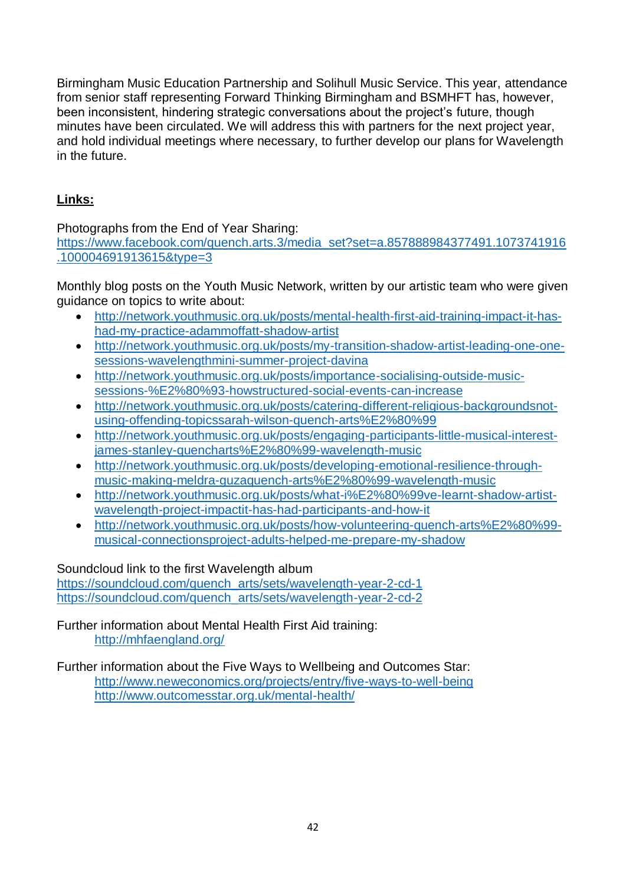Birmingham Music Education Partnership and Solihull Music Service. This year, attendance from senior staff representing Forward Thinking Birmingham and BSMHFT has, however, been inconsistent, hindering strategic conversations about the project's future, though minutes have been circulated. We will address this with partners for the next project year, and hold individual meetings where necessary, to further develop our plans for Wavelength in the future.

#### **Links:**

Photographs from the End of Year Sharing:

[https://www.facebook.com/quench.arts.3/media\\_set?set=a.857888984377491.1073741916](https://www.facebook.com/quench.arts.3/media_set?set=a.857888984377491.1073741916.100004691913615&type=3) [.100004691913615&type=3](https://www.facebook.com/quench.arts.3/media_set?set=a.857888984377491.1073741916.100004691913615&type=3)

Monthly blog posts on the Youth Music Network, written by our artistic team who were given guidance on topics to write about:

- [http://network.youthmusic.org.uk/posts/mental-health-first-aid-training-impact-it-has](http://network.youthmusic.org.uk/posts/mental-health-first-aid-training-impact-it-has-had-my-practice-adammoffatt-shadow-artist)[had-my-practice-adammoffatt-shadow-artist](http://network.youthmusic.org.uk/posts/mental-health-first-aid-training-impact-it-has-had-my-practice-adammoffatt-shadow-artist)
- [http://network.youthmusic.org.uk/posts/my-transition-shadow-artist-leading-one-one](http://network.youthmusic.org.uk/posts/my-transition-shadow-artist-leading-one-one-sessions-wavelengthmini-summer-project-davina)[sessions-wavelengthmini-summer-project-davina](http://network.youthmusic.org.uk/posts/my-transition-shadow-artist-leading-one-one-sessions-wavelengthmini-summer-project-davina)
- [http://network.youthmusic.org.uk/posts/importance-socialising-outside-music](http://network.youthmusic.org.uk/posts/importance-socialising-outside-music-sessions-%E2%80%93-howstructured-social-events-can-increase)[sessions-%E2%80%93-howstructured-social-events-can-increase](http://network.youthmusic.org.uk/posts/importance-socialising-outside-music-sessions-%E2%80%93-howstructured-social-events-can-increase)
- [http://network.youthmusic.org.uk/posts/catering-different-religious-backgroundsnot](http://network.youthmusic.org.uk/posts/catering-different-religious-backgroundsnot-using-offending-topicssarah-wilson-quench-arts%E2%80%99)[using-offending-topicssarah-wilson-quench-arts%E2%80%99](http://network.youthmusic.org.uk/posts/catering-different-religious-backgroundsnot-using-offending-topicssarah-wilson-quench-arts%E2%80%99)
- [http://network.youthmusic.org.uk/posts/engaging-participants-little-musical-interest](http://network.youthmusic.org.uk/posts/engaging-participants-little-musical-interest-james-stanley-quencharts%E2%80%99-wavelength-music)[james-stanley-quencharts%E2%80%99-wavelength-music](http://network.youthmusic.org.uk/posts/engaging-participants-little-musical-interest-james-stanley-quencharts%E2%80%99-wavelength-music)
- [http://network.youthmusic.org.uk/posts/developing-emotional-resilience-through](http://network.youthmusic.org.uk/posts/developing-emotional-resilience-through-music-making-meldra-guzaquench-arts%E2%80%99-wavelength-music)[music-making-meldra-guzaquench-arts%E2%80%99-wavelength-music](http://network.youthmusic.org.uk/posts/developing-emotional-resilience-through-music-making-meldra-guzaquench-arts%E2%80%99-wavelength-music)
- [http://network.youthmusic.org.uk/posts/what-i%E2%80%99ve-learnt-shadow-artist](http://network.youthmusic.org.uk/posts/what-i%E2%80%99ve-learnt-shadow-artist-wavelength-project-impactit-has-had-participants-and-how-it)[wavelength-project-impactit-has-had-participants-and-how-it](http://network.youthmusic.org.uk/posts/what-i%E2%80%99ve-learnt-shadow-artist-wavelength-project-impactit-has-had-participants-and-how-it)
- [http://network.youthmusic.org.uk/posts/how-volunteering-quench-arts%E2%80%99](http://network.youthmusic.org.uk/posts/how-volunteering-quench-arts%E2%80%99-musical-connectionsproject-adults-helped-me-prepare-my-shadow) [musical-connectionsproject-adults-helped-me-prepare-my-shadow](http://network.youthmusic.org.uk/posts/how-volunteering-quench-arts%E2%80%99-musical-connectionsproject-adults-helped-me-prepare-my-shadow)

Soundcloud link to the first Wavelength album

[https://soundcloud.com/quench\\_arts/sets/wavelength-year-2-cd-1](https://soundcloud.com/quench_arts/sets/wavelength-year-2-cd-1) [https://soundcloud.com/quench\\_arts/sets/wavelength-year-2-cd-2](https://soundcloud.com/quench_arts/sets/wavelength-year-2-cd-2)

Further information about Mental Health First Aid training: <http://mhfaengland.org/>

Further information about the Five Ways to Wellbeing and Outcomes Star: <http://www.neweconomics.org/projects/entry/five-ways-to-well-being> http://www.outcomesstar.org.uk/mental-health/